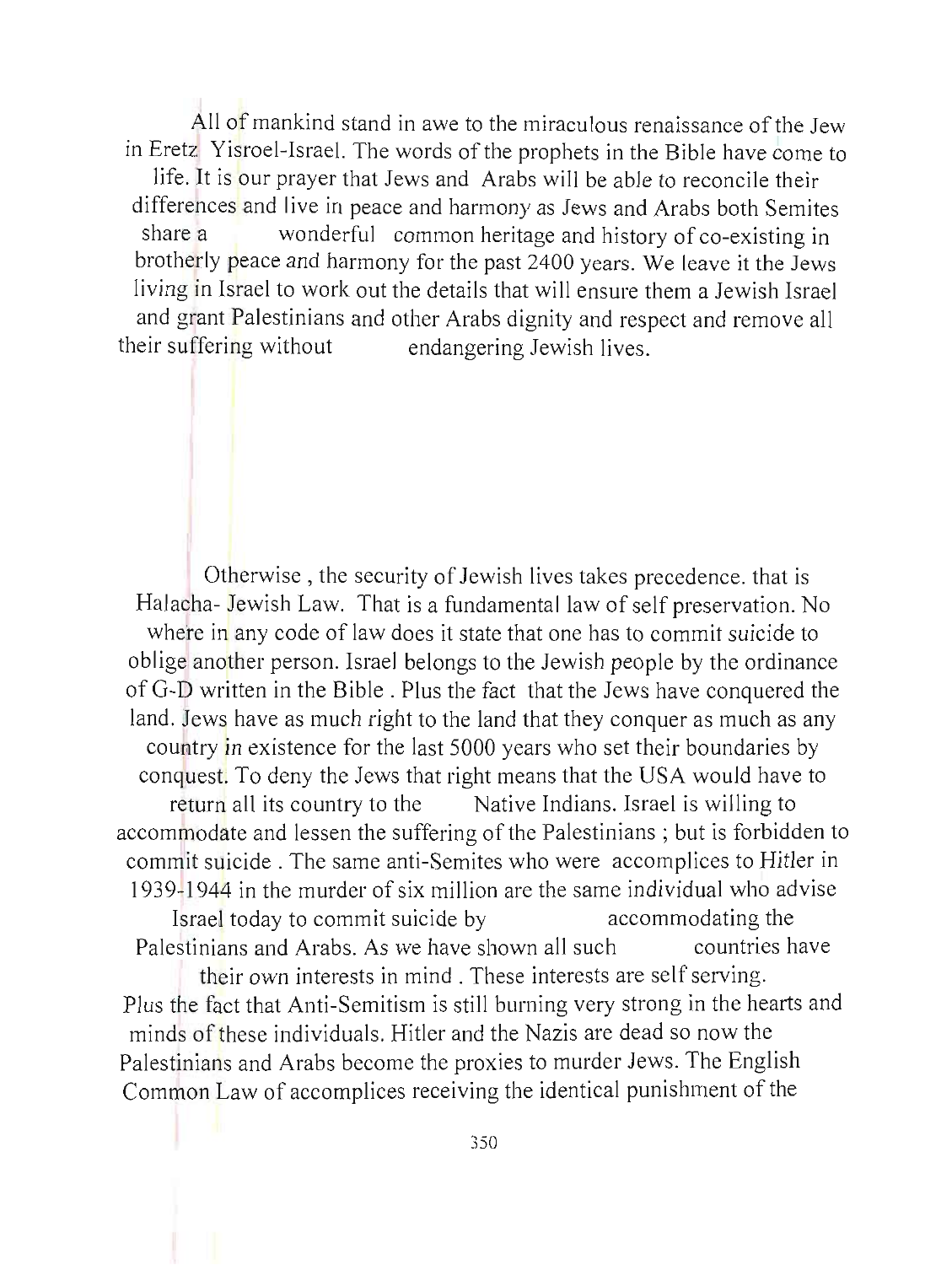All of mankind stand in awe to the miraculous renaissance of the Jew in Eretz Yisroel-Israel. The words of the prophets in the Bible have come to life. It is our prayer that Jews and Arabs will be able to reconcile their differences and live in peace and harmony as Jews and Arabs both Semites share a wonderful common heritage and history of co-existing in brotherly peace and harmony for the past 2400 years. We leave it the Jews living in Israel to work out the details that will ensure them a Jewish Israel and grant Palestinians and other Arabs dignity and respect and remove all their suffering without endangering Jewish lives.

Otherwise , the security of Jewish lives takes precedence. that is Halaoha- Jewish Law. That is a fundamental law of self preservation. No where in any code of law does it state that one has to commit suicide to oblige another person. Israel belongs to the Jewish people by the ordinance of G-D written in the Bible. Plus the fact that the Jews have conquered the land. Jews have as much right to the land that they conquer as much as any country in existence for the last 5000 years who set their boundaries by conquest. To deny the Jews that right means that the USA would have to return all its country to the Native Indians. Israel is willing to accommodate and lessen the suffering of the Palestinians; but is forbidden to commit suicide . The same anti-Semites who were accomplices to Hitler in 1939-1944 in the murder of six million are the same individual who advise Israel today to commit suicide by accommodating the Palestinians and Arabs. As we have shown all such countries have their own interests in mind. These interests are self serving. Plus the fact that Anti-Semitism is still burning very strong in the hearts and minds of these individuals. Hitler and the Nazis are dead so now the Palestinians and Arabs become the proxies to murder Jews. The English Common Law of accomplices receiving the identical punishment of the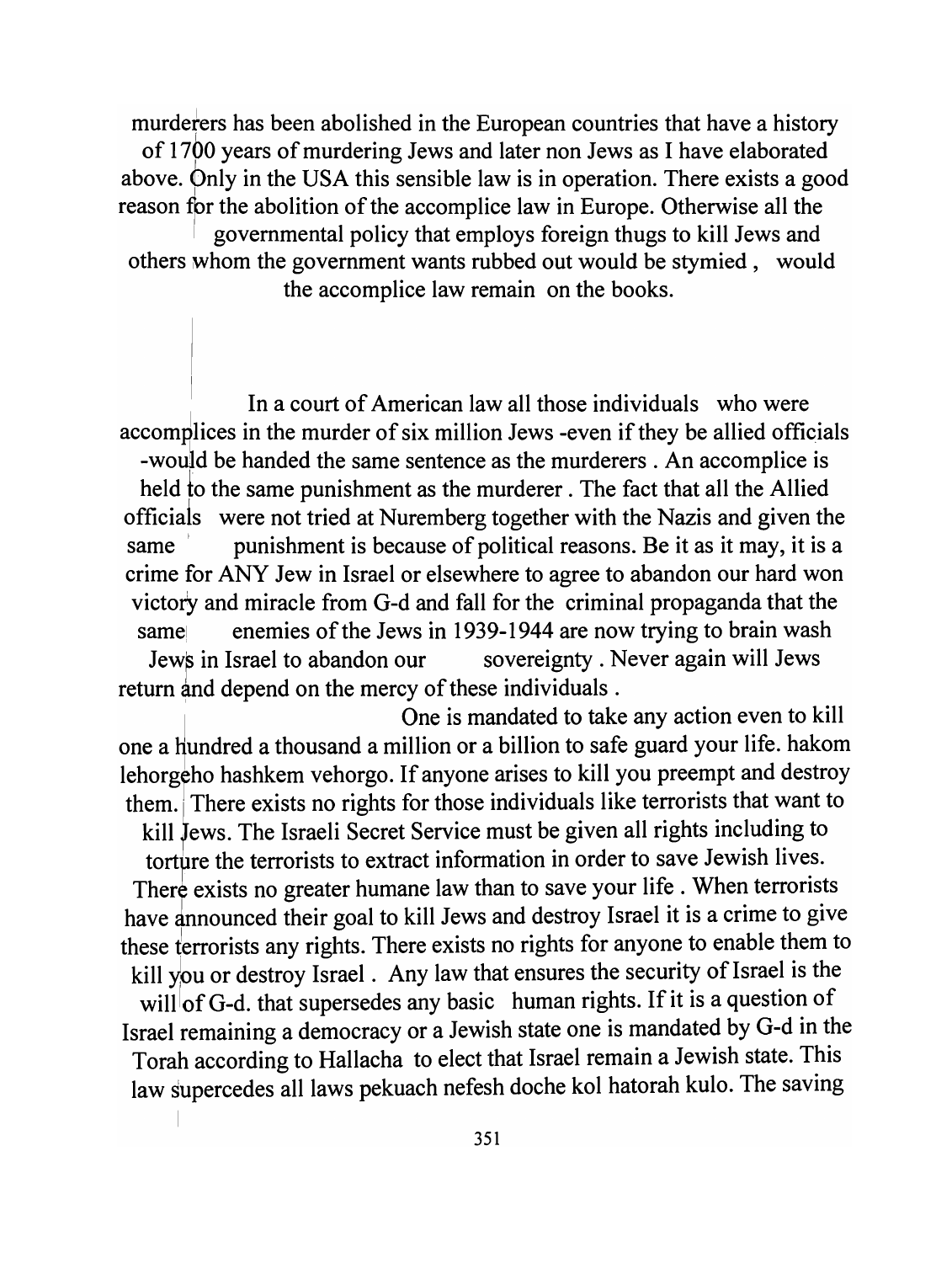murderers has been abolished in the European countries that have a history of 1700 years of murdering Jews and later non Jews as I have elaborated above. Only in the USA this sensible law is in operation. There exists a good reason for the abolition of the accomplice law in Europe. Otherwise all the governmental policy that employs foreign thugs to kill Jews and others whom the government wants rubbed out would be stymied, would the accomplice law remain on the books.

In a court of American law all those individuals who were accomplices in the murder of six million Jews -even if they be allied officials -would be handed the same sentence as the murderers. An accomplice is held to the same punishment as the murderer. The fact that all the Allied officiais were not tried at Nuremberg together with the Nazis and given the same punishment is because of political reasons. Be it as it may, it is a crime for ANY Jew in Israel or elsewhere to agree to abandon our hard won victory and miracle from G-d and fall for the criminal propaganda that the same enemies of the Jews in 1939-1944 are now trying to brain wash Jews in Israel to abandon our sovereignty. Never again will Jews return and depend on the mercy of these individuals.

One is mandated to take any action even to kill one a hundred a thousand a million or a billion to safe guard your life. hakom lehorgeho hashkem vehorgo. If anyone arises to kill you preempt and destroy them. There exists no rights for those individuals like terrorists that want to

kill fews. The Israeli Secret Service must be given all rights including to torture the terrorists to extract information in order to save Jewish lives. There exists no greater humane law than to save your life. When terrorists have announced their goal to kill Jews and destroy Israel it is a crime to give these terrorists any rights. There exists no rights for anyone to enable them to kill you or destroy Israel. Any law that ensures the security of Israel is the will of G-d. that supersedes any basic human rights. If it is a question of

Israel remaining a democracy or a Jewish state one is mandated by G-d in the Torah according to Hallacha to elect that Israel remain a Jewish state. This law supercedes all laws pekuach nefesh doche kol hatorah kulo. The saving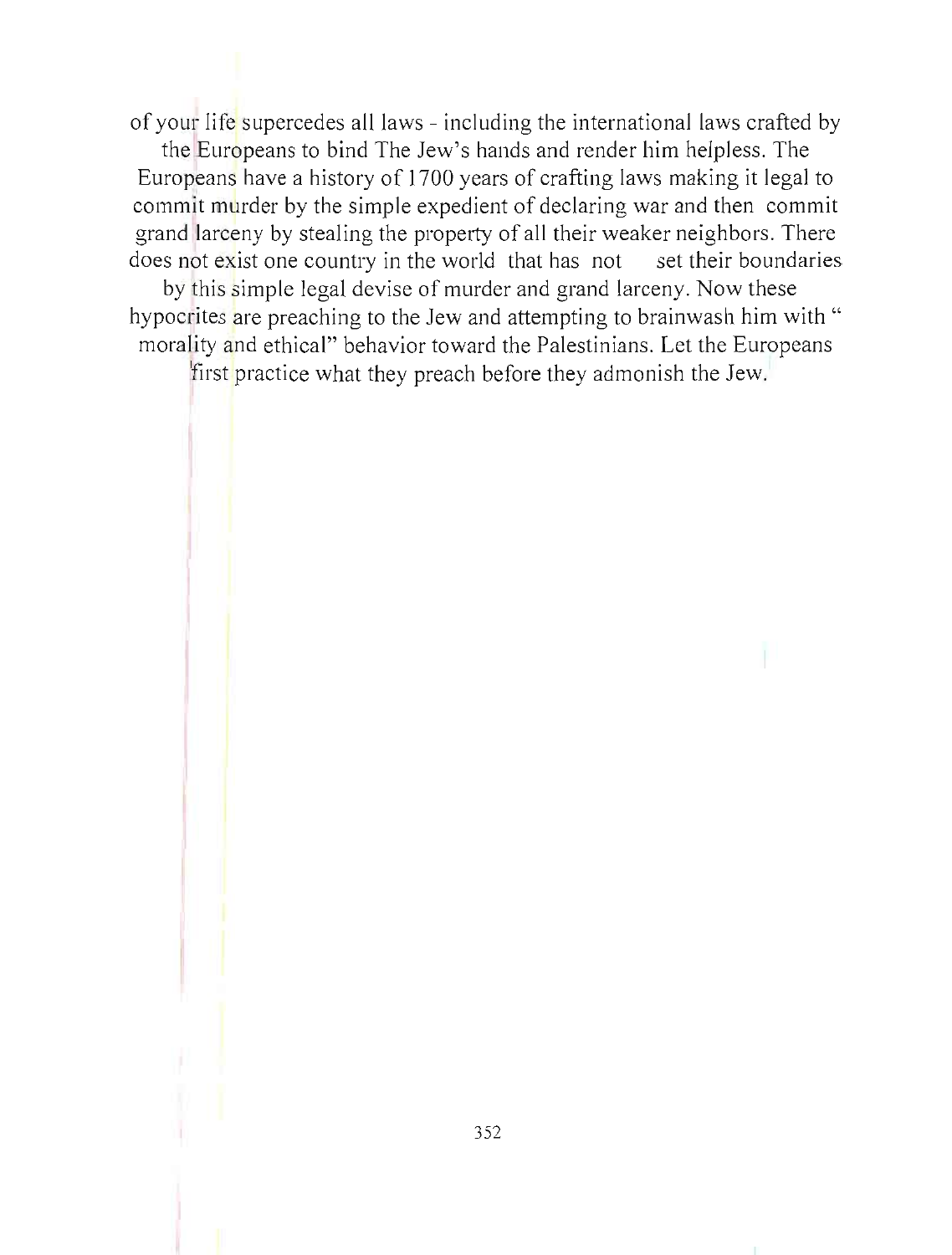of your life supercedes all laws - including the international laws crafted by

the Europeans to bind The Jew's hands and render him helpless. The Europeans have a history of 1700 years of crafting laws making it legal to commit murder by the simple expedient of declaring war and then commit grand larceny by stealing the property of all their weaker neighbors. There does not exist one country in the world that has not set their boundaries

by this simple legal devise of murder and grand larceny. Now these hypocrites are preaching to the Jew and attempting to brainwash him with " morality and ethical" behavior toward the Palestinians. Let the Europeans

first practice what they preach before they admonish the Jew.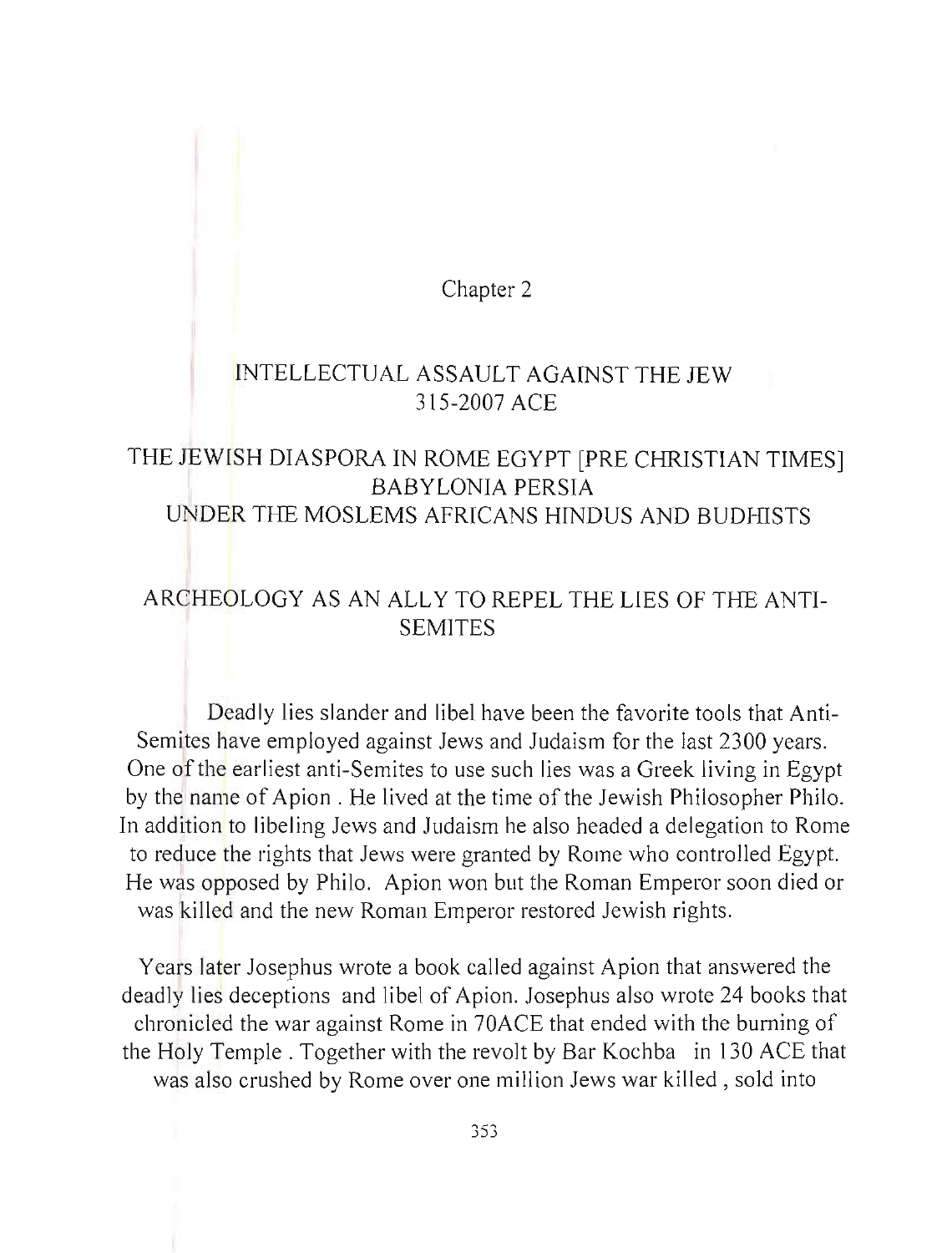Chapter 2

### INTELLECTUAL ASSAULT AGAINST THE JEW 315-2007 ACE

### THE JEWISH DIASPORA IN ROME EGYPT [PRE CHRISTIAN TIMES] BABYLONIA PERSIA UNDER THE MOSLEMS AFRICANS HINDUS AND BUDHISTS

## ARCHEOLOGY AS AN ALLY TO REPEL THE LIES OF THE ANTI-SEMITES

Deadly lies slander and libel have been the favorite tools that Anti-Semites have employed against Jews and Judaism for the last 2300 years. One of the earliest anti-Semites to use such lies was a Greek living in Egypt by the name of Apion . He lived at the time of the Jewish Philosopher Philo. **In** addition to libeling Jews and Judaism he also headed a delegation to Rome to reduce the rights that Jews were granted by Rome who controlled Egypt. He was opposed by Philo. Apion won but the Roman Emperor soon died or was killed and the new Roman Emperor restored Jewish rights.

Years later Josephus wrote a book called against Apion that answered the deadly lies deceptions and libel of Apion. Josephus also wrote 24 books that chronicled the war against Rome in 70ACE that ended with the burning of the Holy Temple. Together with the revolt by Bar Kochba in 130 ACE that was also crushed by Rome over one million Jews war killed , sold into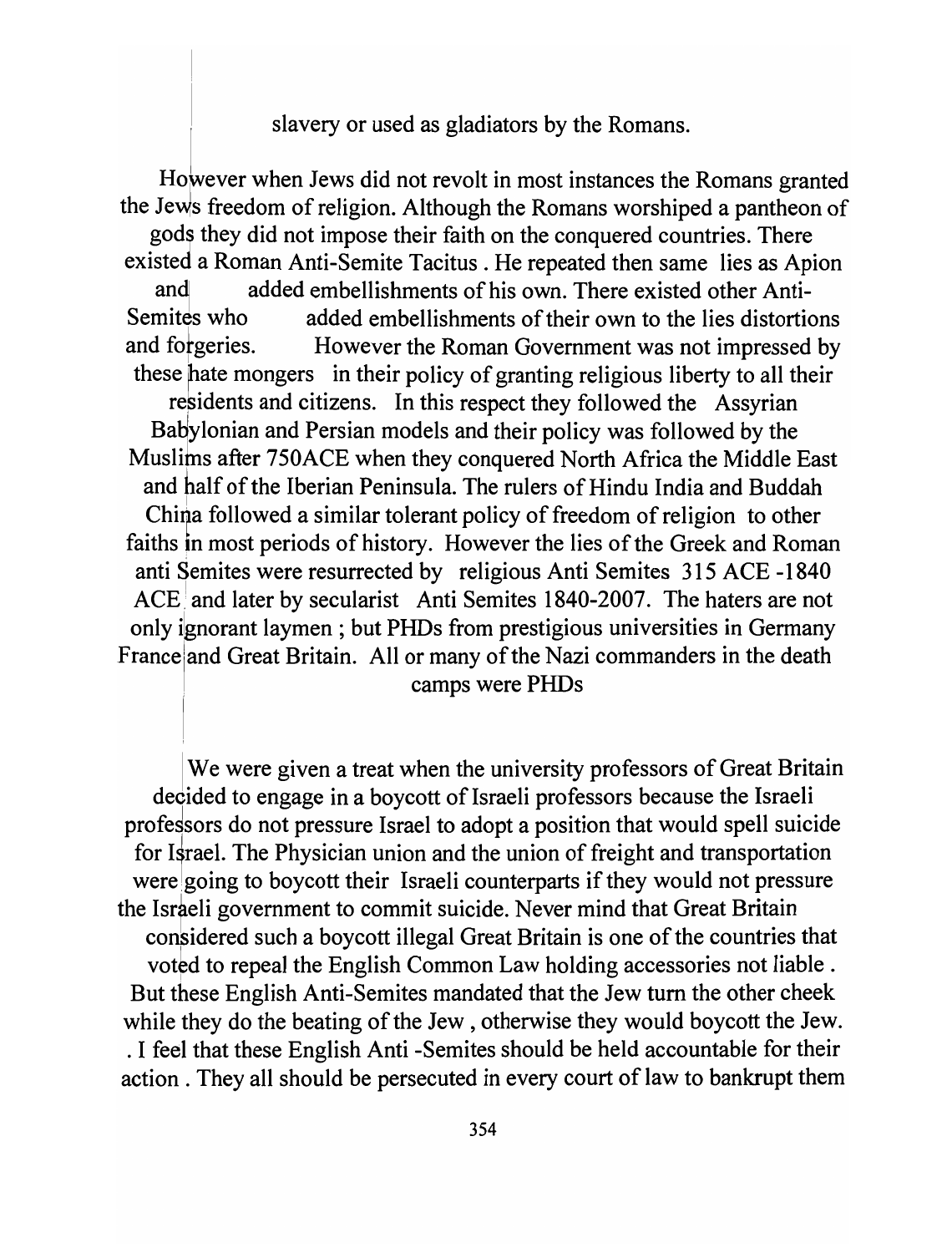slavery or used as gladiators by the Romans.

However when Jews did not revolt in most instances the Romans granted the Jews freedom of religion. Although the Romans worshiped a pantheon of gods they did not impose their faith on the conquered countries. There existed a Roman Anti-Semite Tacitus. He repeated then same lies as Apion and added embellishments of his own. There existed other Anti-Semites who added embellishments of their own to the lies distortions and forgeries. However the Roman Government was not impressed by these hate mongers in their policy of granting religious liberty to all their residents and citizens. In this respect they followed the Assyrian Babylonian and Persian models and their policy was followed by the Muslims after 750ACE when they conquered North Africa the Middle East and half of the Iberian Peninsula. The rulers of Hindu India and Buddah China followed a similar tolerant policy of freedom of religion to other faiths in most periods of history. However the lies of the Greek and Roman anti Semites were resurrected by religious Anti Semites 315 ACE -1840 ACE and later by secularist Anti Semites 1840-2007. The haters are not only ignorant laymen; but PHDs from prestigious universities in Germany France and Great Britain. All or many of the Nazi commanders in the death . camps were PHDs

We were given a treat when the university professors of Great Britain decided to engage in a boycott of Israeli professors because the Israeli professors do not pressure Israel to adopt a position that would spell suicide for Israel. The Physician union and the union of freight and transportation were going to boycott their Israeli counterparts if they would not pressure the Israeli government to commit suicide. Never mind that Great Britain considered such a boycott illegal Great Britain is one of the countries that voted to repeal the English Common Law holding accessories not liable. But these English Anti-Semites mandated that the Jew tum the other cheek while they do the beating of the Jew, otherwise they would boycott the Jew. . I feel that these English Anti -Semites should be held accountable for their action. They all should be persecuted in every court of law to bankrupt them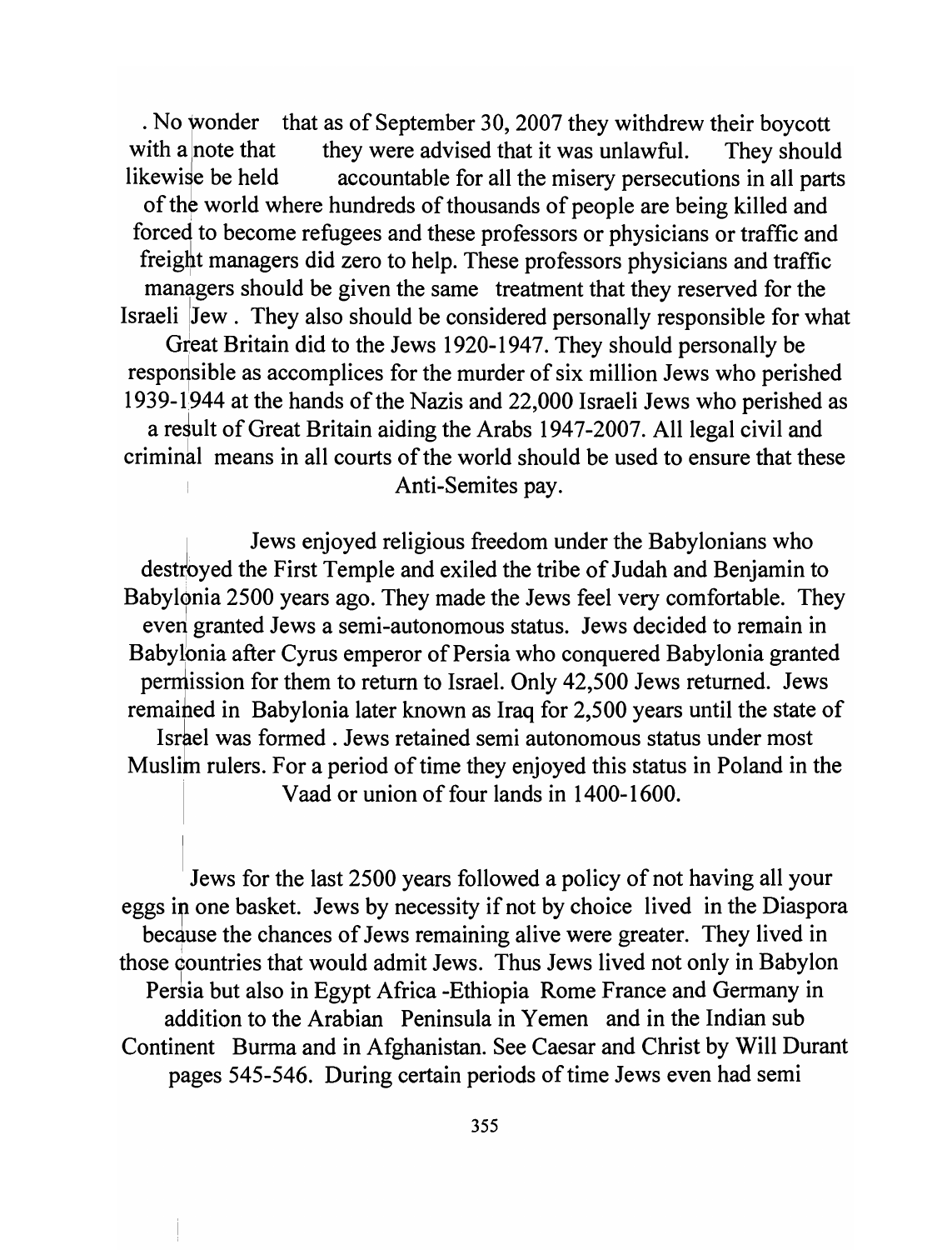$\cdot$  No wonder that as of September 30, 2007 they withdrew their boycott with a note that they were advised that it was unlawful. They should likewise be held accountable for all the misery persecutions in all parts of the world where hundreds of thousands of people are being killed and forced to become refugees and these professors or physicians or traffic and freight managers did zero to help. These professors physicians and traffic managers should be given the same treatment that they reserved for the Israeli Jew. They also should be considered personally responsible for what Great Britain did to the Jews 1920-1947. They should personally be responsible as accomplices for the murder of six million Jews who perished 1939-1944 at the hands of the Nazis and 22,000 Israeli Jews who perished as a result of Great Britain aiding the Arabs 1947-2007. All legal civil and criminal means in all courts of the world should be used to ensure that these Anti-Semites pay.

Jews enjoyed religious freedom under the Babylonians who destroyed the First Temple and exiled the tribe of Judah and Benjamin to Babylonia 2500 years ago. They made the Jews feel very comfortable. They everl granted Jews a semi-autonomous status. Jews decided to remain in Babylbnia after Cyrus emperor of Persia who conquered Babylonia granted permission for them to return to Israel. Only 42,500 Jews returned. Jews remaihed in Babylonia later known as Iraq for 2,500 years until the state of Isrrel was formed . Jews retained semi autonomous status under most Muslim rulers. For a period of time they enjoyed this status in Poland in the Vaad or union of four lands in 1400-1600.

Jews for the last 2500 years followed a policy of not having all your eggs in one basket. Jews by necessity if not by choice lived in the Diaspora because the chances of Jews remaining alive were greater. They lived in those countries that would admit Jews. Thus Jews lived not only in Babylon Persia but also in Egypt Africa -Ethiopia Rome France and Germany in addition to the Arabian Peninsula in Yemen and in the Indian sub Continent Burma and in Afghanistan. See Caesar and Christ by Will Durant pages 545-546. During certain periods of time Jews even had semi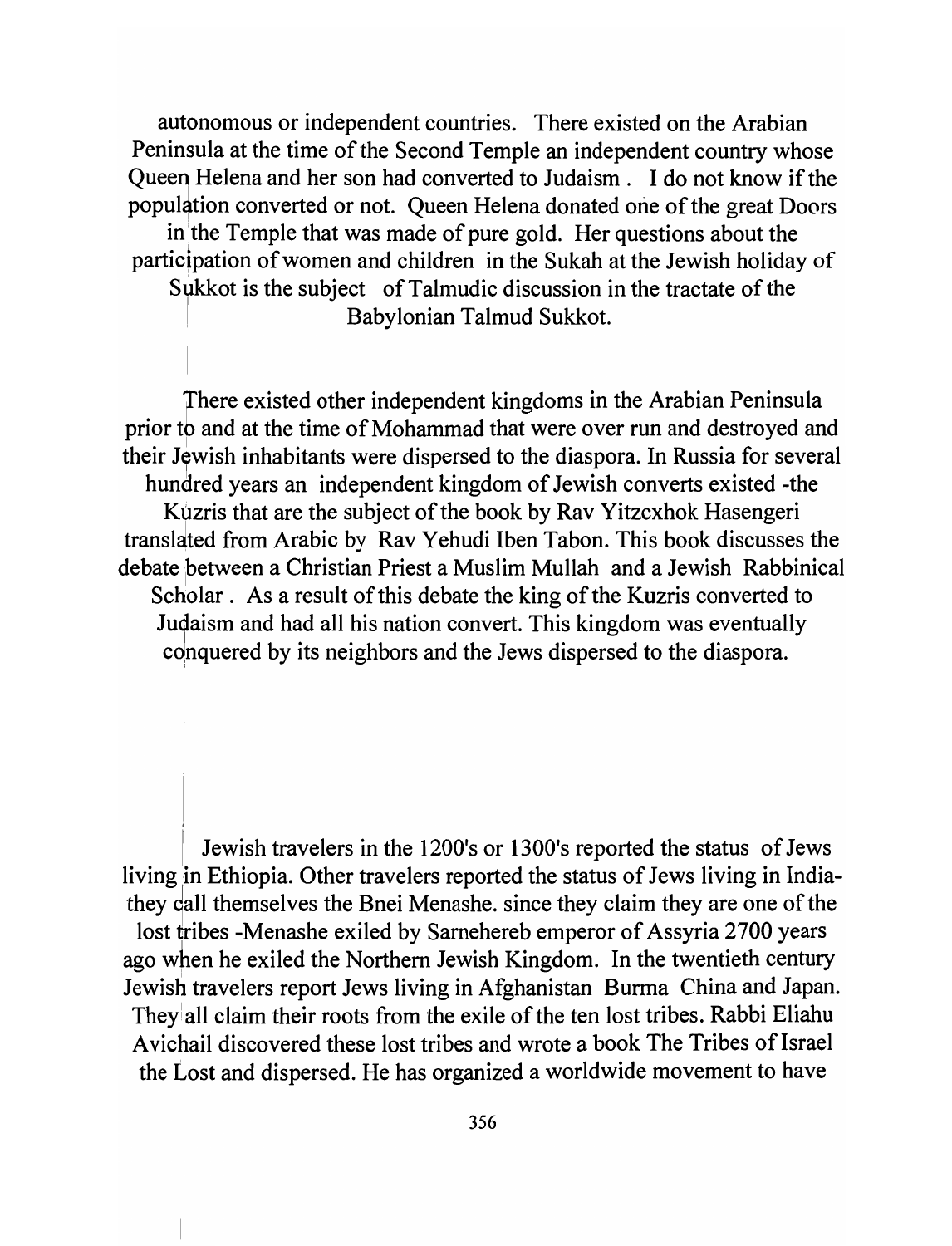autonomous or independent countries. There existed on the Arabian Peninfula at the time of the Second Temple an independent country whose **Queen Helena and her son had converted to Judaism. I do not know** if the population converted or not. Queen Helena donated one of the great Doors in the Temple that was made of pure gold. Her questions about the **participation** of women **and children in the Sukah at the Jewish holiday of Sukkot is the subject** of Talmudic **discussion in the tractate** of the <sup>I</sup>**Babylonian Talmud Sukkot.** 

**There existed other independent kingdoms in the Arabian Peninsula prior to and at the time** of Mohammad **that were over run and destroyed and**  their Jewish inhabitants were dispersed to the diaspora. In Russia for several hundred years an independent kingdom of Jewish converts existed -the **Kuzris that are the subject** of the **book by Rav Yitzcxhok Hasengeri transldted from Arabic by Rav Yehudi Iben Tabon. This book discusses the debate** !petween **a Christian Priest a Muslim Mullah and a Jewish Rabbinical Scholar. As a result of this debate the king of the Kuzris converted to Judaism and had all his nation convert. This kingdom was eventually**  conquered by its neighbors and the Jews dispersed to the diaspora.

Jewish travelers in the 1200's or 1300's reported the status of Jews living in Ethiopia. Other travelers reported the status of Jews living in Indiathey call themselves the Bnei Menashe. since they claim they are one of the **lost tribes -Menashe exiled by Sarnehereb emperor of Assyria 2700 years**  ago when he exiled the Northern Jewish Kingdom. In the twentieth century Jewish travelers report Jews living in Afghanistan Burma China and Japan. They all claim their roots from the exile of the ten lost tribes. Rabbi Eliahu **A vichail discovered these lost tribes and wrote a book The Tribes of Israel the Lost and dispersed. He has organized a worldwide movement to have**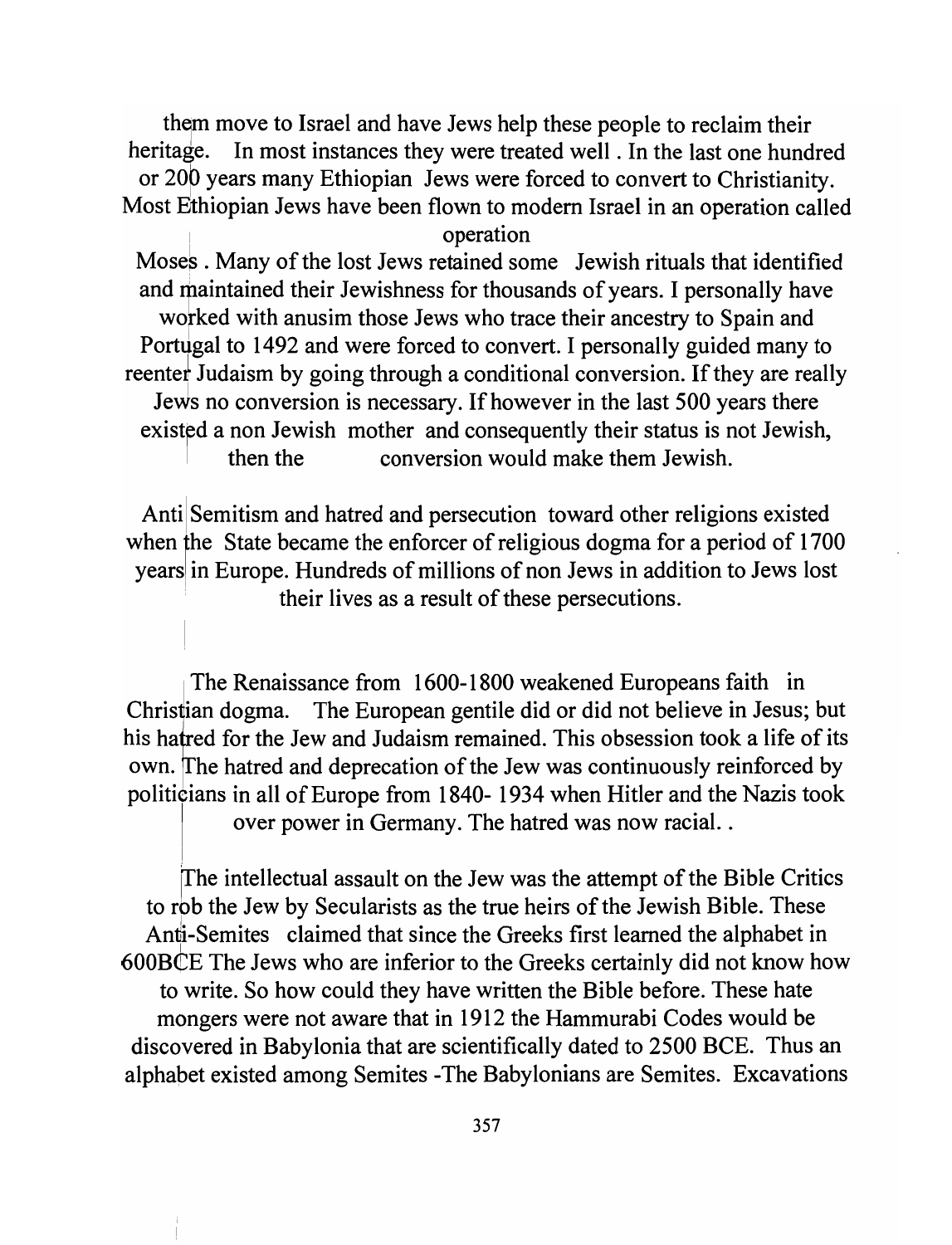them move to Israel and have Jews help these people to reclaim their heritage. In most instances they were treated well. In the last one hundred or 200 years many Ethiopian Jews were forced to convert to Christianity. Most Ethiopian Jews have been flown to modern Israel in an operation called ! operation

Moses. Many of the lost Jews retained some Jewish rituals that identified and maintained their Jewishness for thousands of years. I personally have worked with anusim those Jews who trace their ancestry to Spain and Portugal to 1492 and were forced to convert. I personally guided many to reenter Judaism by going through a conditional conversion. If they are really Jews no conversion is necessary. If however in the last 500 years there existed a non Jewish mother and consequently their status is not Jewish, then the conversion would make them Jewish.

Anti Semitism and hatred and persecution toward other religions existed when the State became the enforcer of religious dogma for a period of 1700 years in Europe. Hundreds of millions of non Jews in addition to Jews lost . their lives as a result of these persecutions.

The Renaissance from 1600-1800 weakened Europeans faith in Christian dogma. The European gentile did or did not believe in Jesus; but his hatred for the Jew and Judaism remained. This obsession took a life of its own. The hatred and deprecation of the Jew was continuously reinforced by politicians in all of Europe from 1840- 1934 when Hitler and the Nazis took over power in Germany. The hatred was now racial..

The intellectual assault on the Jew was the attempt of the Bible Critics to rob the Jew by Secularists as the true heirs of the Jewish Bible. These Anti-Semites claimed that since the Greeks first learned the alphabet in 600B€E The Jews who are inferior to the Greeks certainly did not know how to write. So how could they have written the Bible before. These hate mongers were not aware that in 1912 the Hammurabi Codes would be discovered in Babylonia that are scientifically dated to 2500 BCE. Thus an alphapet existed among Semites -The Babylonians are Semites. Excavations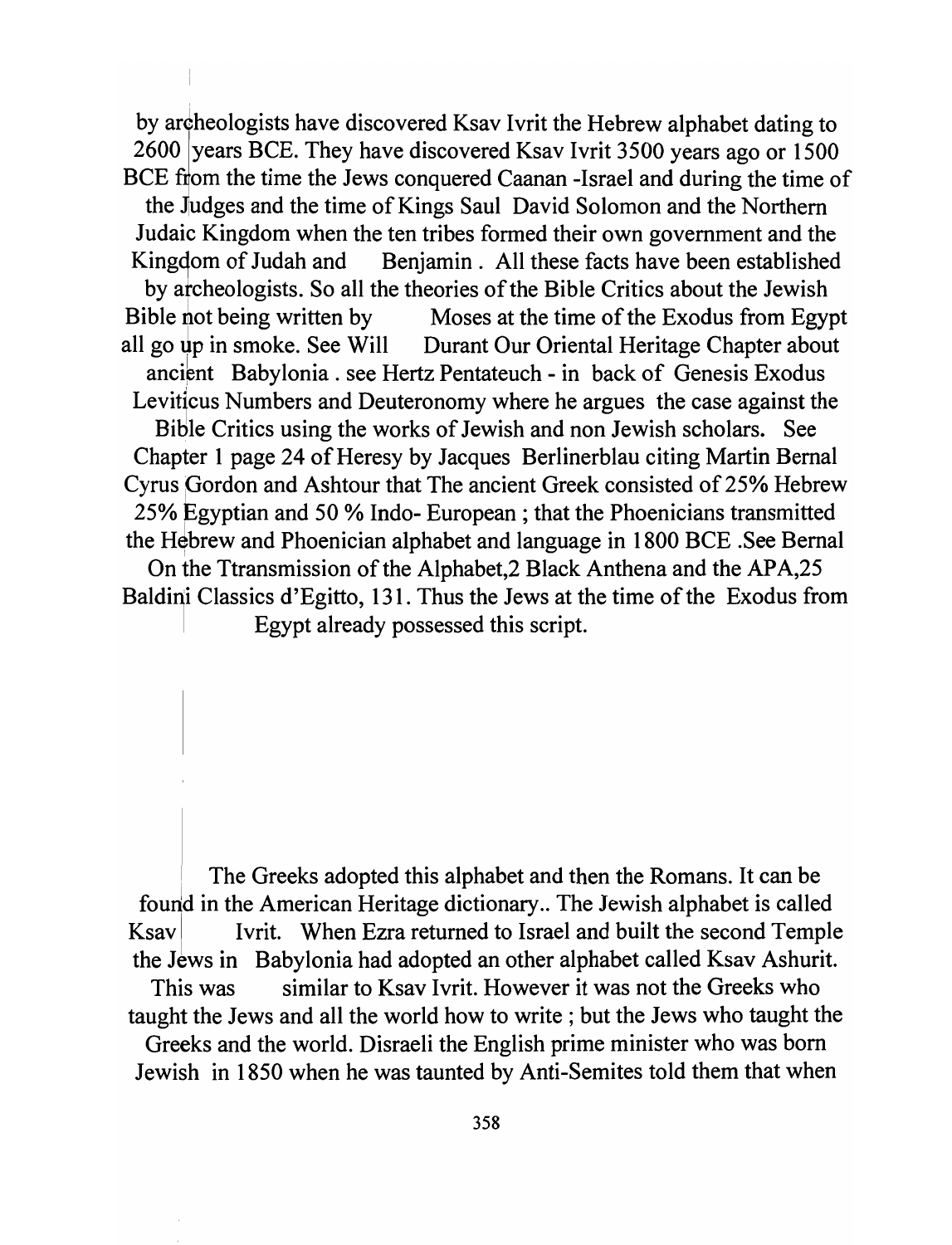by archeologists have discovered Ksav Ivrit the Hebrew alphabet dating to 2600 years BCE. They have discovered Ksav Ivrit 3500 years ago or 1500 BCE from the time the Jews conquered Caanan -Israel and during the time of the Judges and the time of Kings Saul David Solomon and the Northern Judaic Kingdom when the ten tribes formed their own government and the Kingdom of Judah and Benjamin. All these facts have been established by archeologists. So all the theories of the Bible Critics about the Jewish Bible not being written by Moses at the time of the Exodus from Egypt all go up in smoke. See Will Durant Our Oriental Heritage Chapter about ancient Babylonia. see Hertz Pentateuch - in back of Genesis Exodus Leviticus Numbers and Deuteronomy where he argues the case against the Bitlle Critics using the works of Jewish and non Jewish scholars. See Chapter 1 page 24 of Heresy by Jacques Berlinerblau citing Martin Bernal Cyrus Gordon and Ashtour that The ancient Greek consisted of 25% Hebrew 25% Egyptian and 50 % Indo- European; that the Phoenicians transmitted the Hebrew and Phoenician alphabet and language in 1800 BCE .See Bernal On the Ttransmission of the Alphabet,2 Black Anthena and the APA,25 Baldini Classics d'Egitto, 131. Thus the Jews at the time of the Exodus from

. Egypt already possessed this script.

The Greeks adopted this alphabet and then the Romans. It can be found in the American Heritage dictionary.. The Jewish alphabet is called Ksav Ivrit. When Ezra returned to Israel and built the second Temple the Jews in Babylonia had adopted an other alphabet called Ksav Ashurit. This was similar to Ksav Ivrit. However it was not the Greeks who taught the Jews and all the world how to write; but the Jews who taught the Greeks and the world. Disraeli the English prime minister who was born

Jewish in 1850 when he was taunted by Anti-Semites told them that when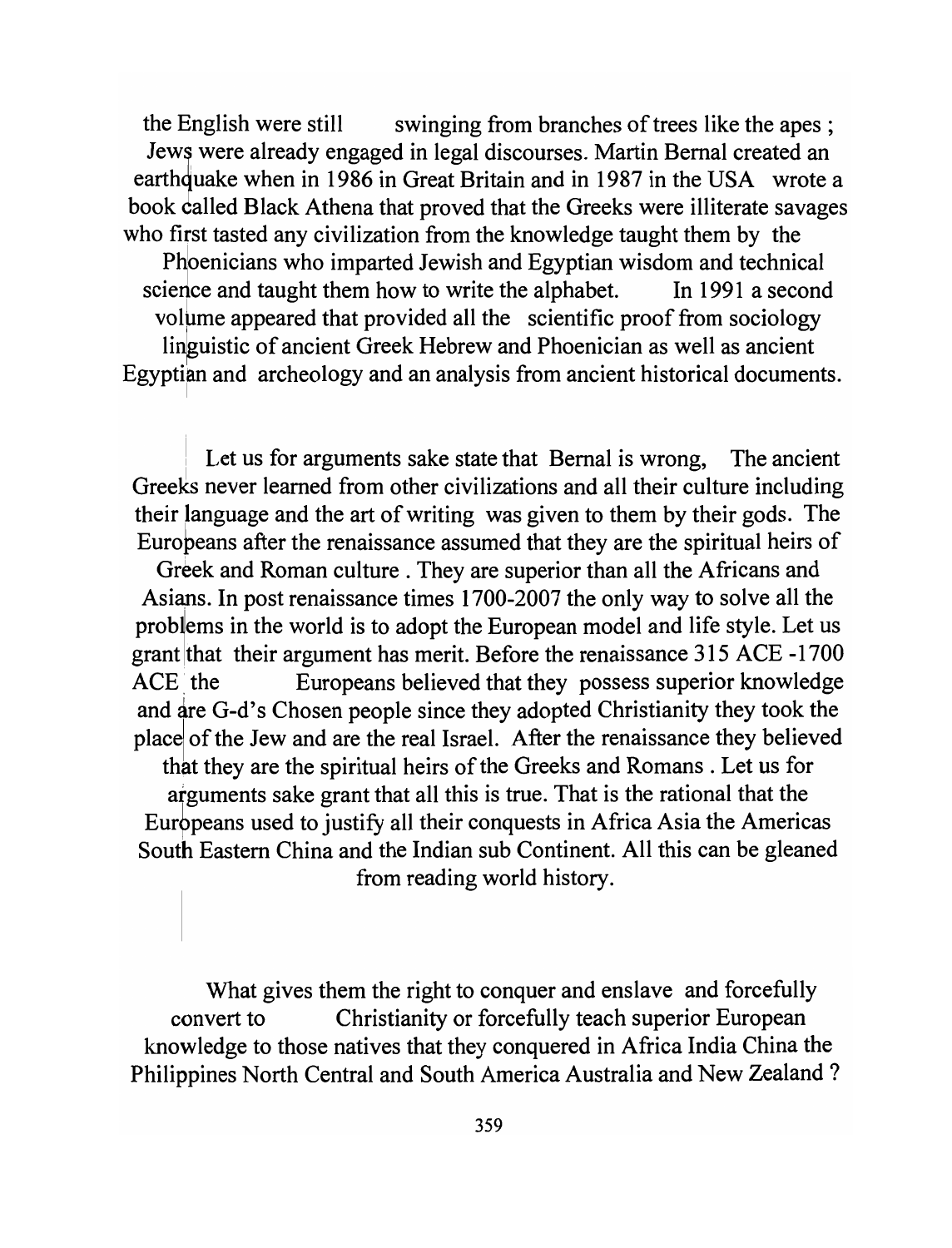the English were still swinging from branches of trees like the apes ; Jews were already engaged in legal discourses. Martin Bernal created an earth quake when in 1986 in Great Britain and in 1987 in the USA wrote a book called Black Athena that proved that the Greeks were illiterate savages who first tasted any civilization from the knowledge taught them by the

Phoenicians who imparted Jewish and Egyptian wisdom and technical science and taught them how to write the alphabet. In 1991 a second volume appeared that provided all the scientific proof from sociology linguistic of ancient Greek Hebrew and Phoenician as well as ancient Egyptian and archeology and an analysis from ancient historical documents.

Let us for arguments sake state that Bernal is wrong, The ancient Greeks never learned from other civilizations and all their culture including their language and the art of writing was given to them by their gods. The Eurobeans after the renaissance assumed that they are the spiritual heirs of

Greek and Roman culture . They are superior than all the Africans and Asiaps. In post renaissance times 1700-2007 the only way to solve all the problems in the world is to adopt the European model and life style. Let us grant that their argument has merit. Before the renaissance 315 ACE -1700 ACE: the Europeans believed that they possess superior knowledge and are G-d's Chosen people since they adopted Christianity they took the place of the Jew and are the real Israel. After the renaissance they believed that they are the spiritual heirs of the Greeks and Romans. Let us for arguments sake grant that all this is true. That is the rational that the Europeans used to justify all their conquests in Africa Asia the Americas South Eastern China and the Indian sub Continent. All this can be gleaned from reading world history.

What gives them the right to conquer and enslave and forcefully convert to Christianity or forcefully teach superior European knowledge to those natives that they conquered in Africa India China the Philippines North Central and South America Australia and New Zealand?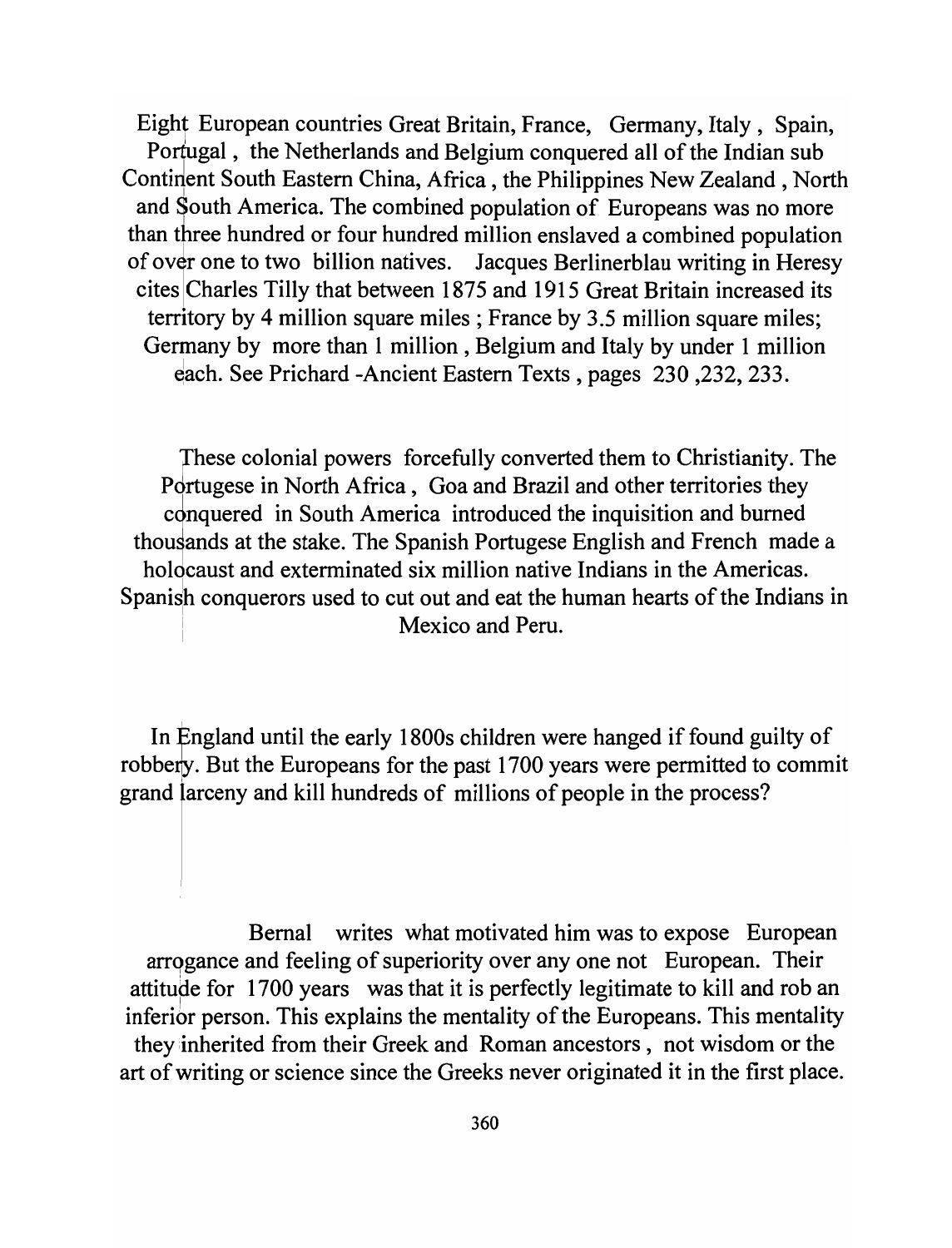Eight European countries Great Britain, France, Germany, Italy, Spain, Portugal, the Netherlands and Belgium conquered all of the Indian sub Continent South Eastern China, Africa, the Philippines New Zealand, North and South America. The combined population of Europeans was no more than three hundred or four hundred million enslaved a combined population of over one to two billion natives. Jacques Berlinerblau writing in Heresy cites ICharles Tilly that between 1875 and 1915 Great Britain increased its territory by 4 million square miles; France by 3.5 million square miles; Germany by more than 1 million, Belgium and Italy by under 1 million ~ach. See Prichard -Ancient Eastern Texts, pages 230 ,232, 233.

These colonial powers forcefully converted them to Christianity. The Pdrtugese in North Africa, Goa and Brazil and other territories they conquered in South America introduced the inquisition and burned thousands at the stake. The Spanish Portugese English and French made a holocaust and exterminated six million native Indians in the Americas. Spanish conquerors used to cut out and eat the human hearts of the Indians in . Mexico and Peru.

In England until the early 1800s children were hanged if found guilty of robbery. But the Europeans for the past 1700 years were permitted to commit grand larceny and kill hundreds of millions of people in the process?

Bernal writes what motivated him was to expose European arrogance and feeling of superiority over any one not European. Their attitude for 1700 years was that it is perfectly legitimate to kill and rob an inferior person. This explains the mentality of the Europeans. This mentality they inherited from their Greek and Roman ancestors, not wisdom or the art of writing or science since the Greeks never originated it in the first place.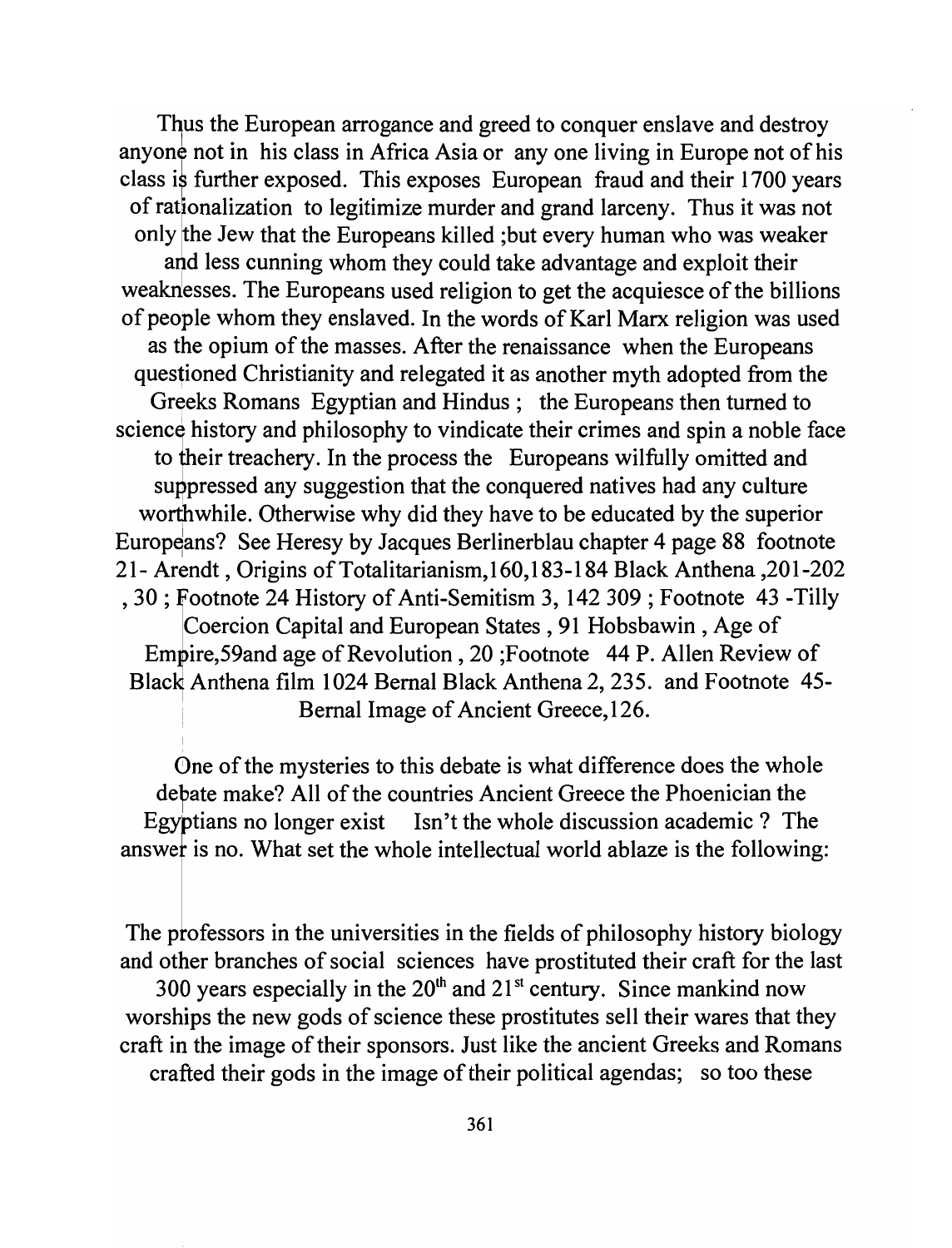Thus the European arrogance and greed to conquer enslave and destroy anyone not in his class in Africa Asia or any one living in Europe not of his class is further exposed. This exposes European fraud and their 1700 years of rationalization to legitimize murder and grand larceny. Thus it was not only the Jew that the Europeans killed ; but every human who was weaker and less cunning whom they could take advantage and exploit their weaknesses. The Europeans used religion to get the acquiesce of the billions of people whom they enslaved. In the words of Karl Marx religion was used as the opium of the masses. After the renaissance when the Europeans questioned Christianity and relegated it as another myth adopted from the Greeks Romans Egyptian and Hindus; the Europeans then turned to science history and philosophy to vindicate their crimes and spin a noble face to their treachery. In the process the Europeans wilfully omitted and suppressed any suggestion that the conquered natives had any culture worthwhile. Otherwise why did they have to be educated by the superior Europeans? See Heresy by Jacques Berlinerblau chapter 4 page 88 footnote 21- Arendt, Origins ofTotalitarianism,160,183-184 Black Anthena ,201-202 , 30 ; Footnote 24 History of Anti-Semitism 3, 142 309 ; Footnote 43 -Tilly Coercion Capital and European States, 91 Hobsbawin, Age of Empire,59and age of Revolution, 20; Footnote 44 P. Allen Review of Black Anthena film 1024 Bernal Black Anthena 2, 235. and Footnote 45-Bernal Image of Ancient Greece, 126.

0ne of the mysteries to this debate is what difference does the whole debate make? All of the countries Ancient Greece the Phoenician the Egybtians no longer exist Isn't the whole discussion academic? The answef is no. What set the whole intellectual world ablaze is the following:

The professors in the universities in the fields of philosophy history biology and other branches of social sciences have prostituted their craft for the last 300 years especially in the  $20<sup>th</sup>$  and  $21<sup>st</sup>$  century. Since mankind now worships the new gods of science these prostitutes sell their wares that they craft in the image of their sponsors. Just like the ancient Greeks and Romans crafted their gods in the image of their political agendas; so too these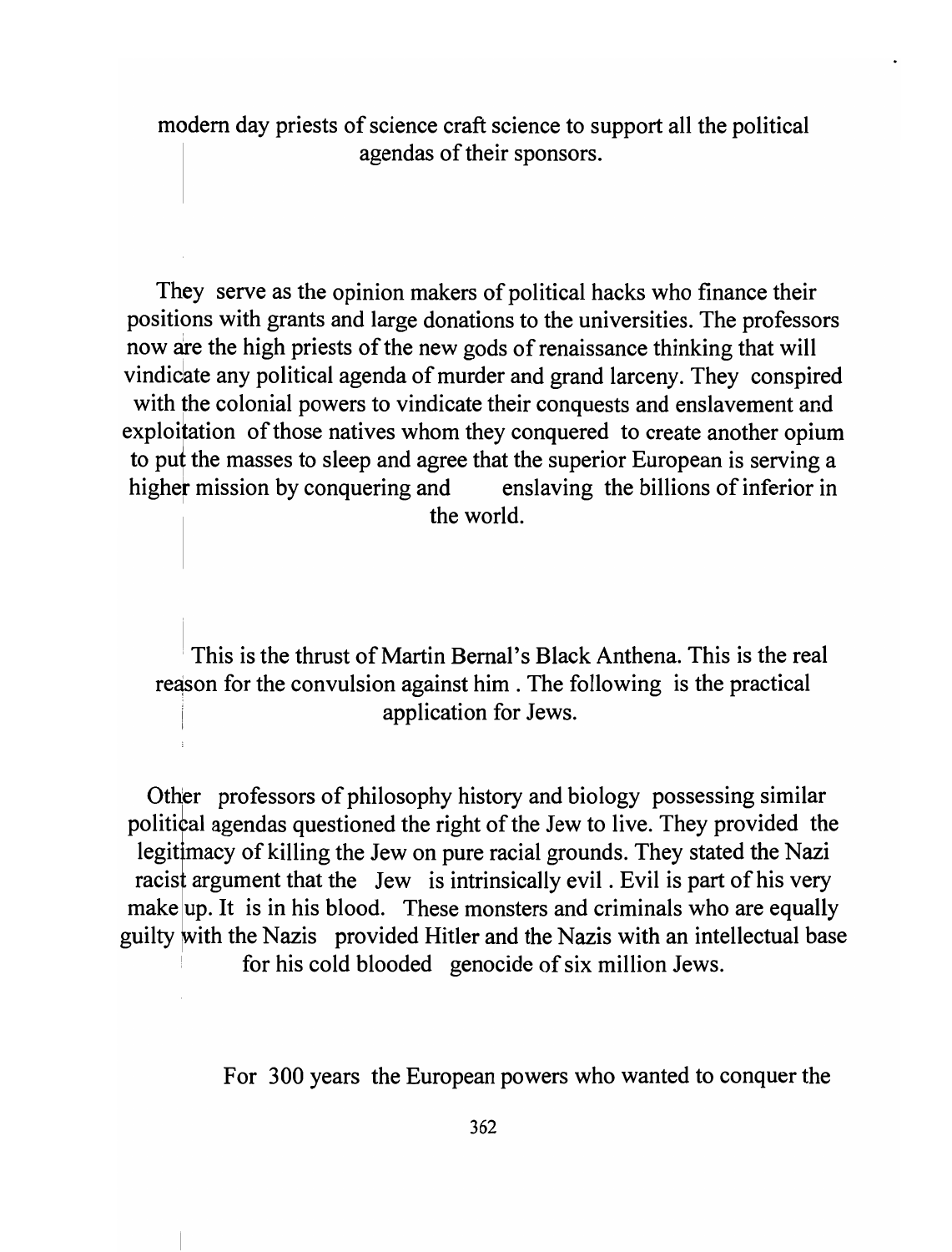modem day priests of science craft science to support all the political agendas of their sponsors.

They serve as the opinion makers of political hacks who finance their positions with grants and large donations to the universities. The professors now are the high priests of the new gods of renaissance thinking that will vindicate any political agenda of murder and grand larceny. They conspired with the colonial powers to vindicate their conquests and enslavement and exploitation of those natives whom they conquered to create another opium to put the masses to sleep and agree that the superior European is serving a higher mission by conquering and enslaving the billions of inferior in the world.

This is the thrust of Martin Bernal's Black Anthena. This is the real reason for the convulsion against him. The following is the practical application for Jews.

Other professors of philosophy history and biology possessing similar political agendas questioned the right of the Jew to live. They provided the legit macy of killing the Jew on pure racial grounds. They stated the Nazi racist argument that the Jew is intrinsically evil. Evil is part of his very make up. It is in his blood. These monsters and criminals who are equally guilty with the Nazis provided Hitler and the Nazis with an intellectual base for his cold blooded genocide of six million Jews.

For 300 years the European powers who wanted to conquer the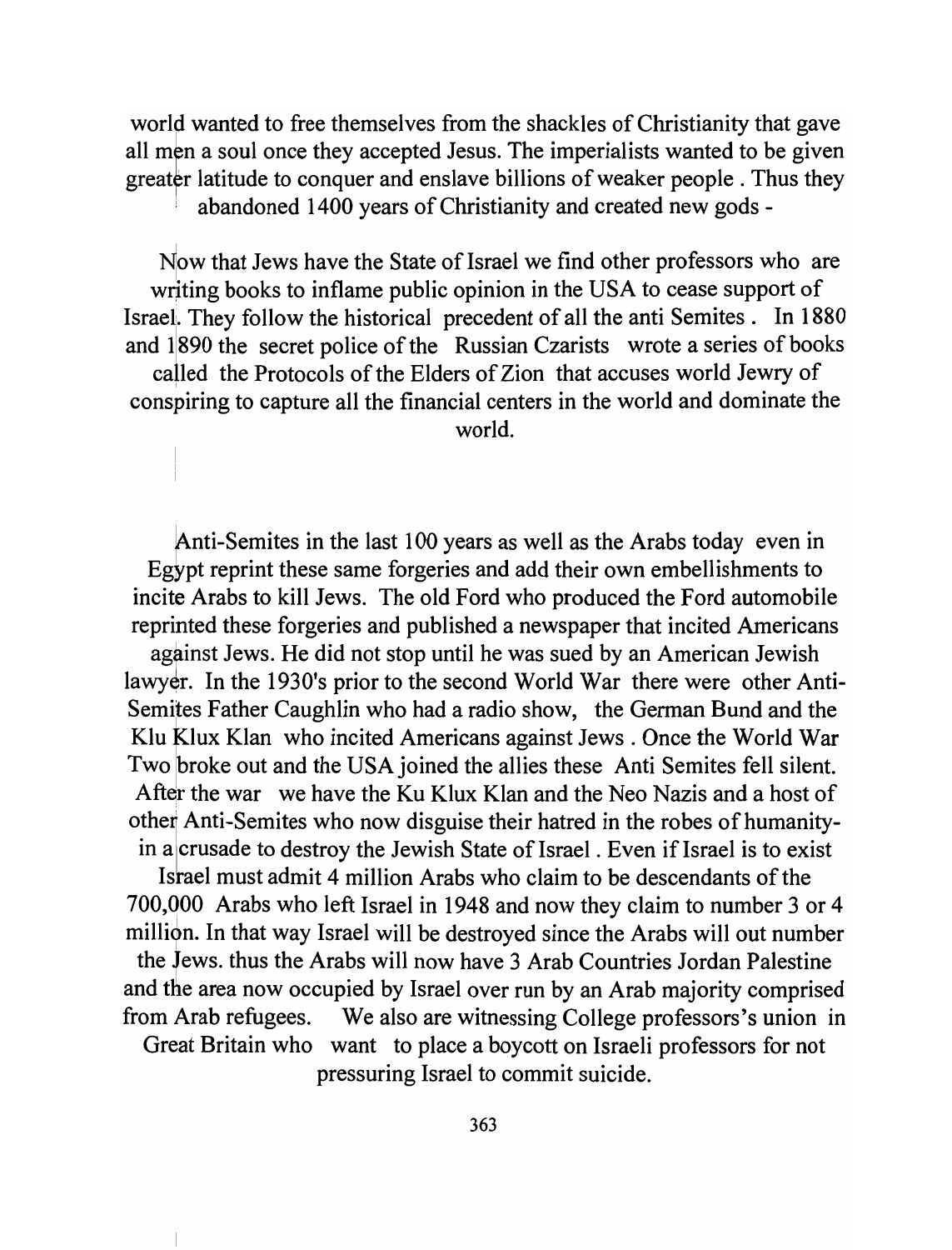world wanted to free themselves from the shackles of Christianity that gave all men a soul once they accepted Jesus. The imperialists wanted to be given greater latitude to conquer and enslave billions of weaker people. Thus they abandoned 1400 years of Christianity and created new gods -

Now that Jews have the State of Israel we find other professors who are writing books to inflame public opinion in the USA to cease support of Israel. They follow the historical precedent of all the anti Semites. In 1880 and 11890 the secret police of the Russian Czarists wrote a series of books called the Protocols of the Elders of Zion that accuses world Jewry of conspiring to capture all the financial centers in the world and dominate the world.

Anti-Semites in the last 100 years as well as the Arabs today even in Egypt reprint these same forgeries and add their own embellishments to incite Arabs to kill Jews. The old Ford who produced the Ford automobile reprinted these forgeries and published a newspaper that incited Americans against Jews. He did not stop until he was sued by an American Jewish lawyer. In the 1930's prior to the second World War there were other Anti-Semites Father Caughlin who had a radio show, the German Bund and the Klu Klux Klan who incited Americans against Jews. Once the World War Two broke out and the USA joined the allies these Anti Semites fell silent. After the war we have the Ku Klux Klan and the Neo Nazis and a host of other Anti-Semites who now disguise their hatred in the robes of humanityin a crusade to destroy the Jewish State of Israel. Even if Israel is to exist

Israel must admit 4 million Arabs who claim to be descendants of the 700,000 Arabs who left Israel in 1948 and now they claim to number 3 or 4 million. In that way Israel will be destroyed since the Arabs will out number the Jews. thus the Arabs will now have 3 Arab Countries Jordan Palestine and the area now occupied by Israel over run by an Arab majority comprised from Arab refugees. We also are witnessing College professors's union in Great Britain who want to place a boycott on Israeli professors for not

pressuring Israel to commit suicide.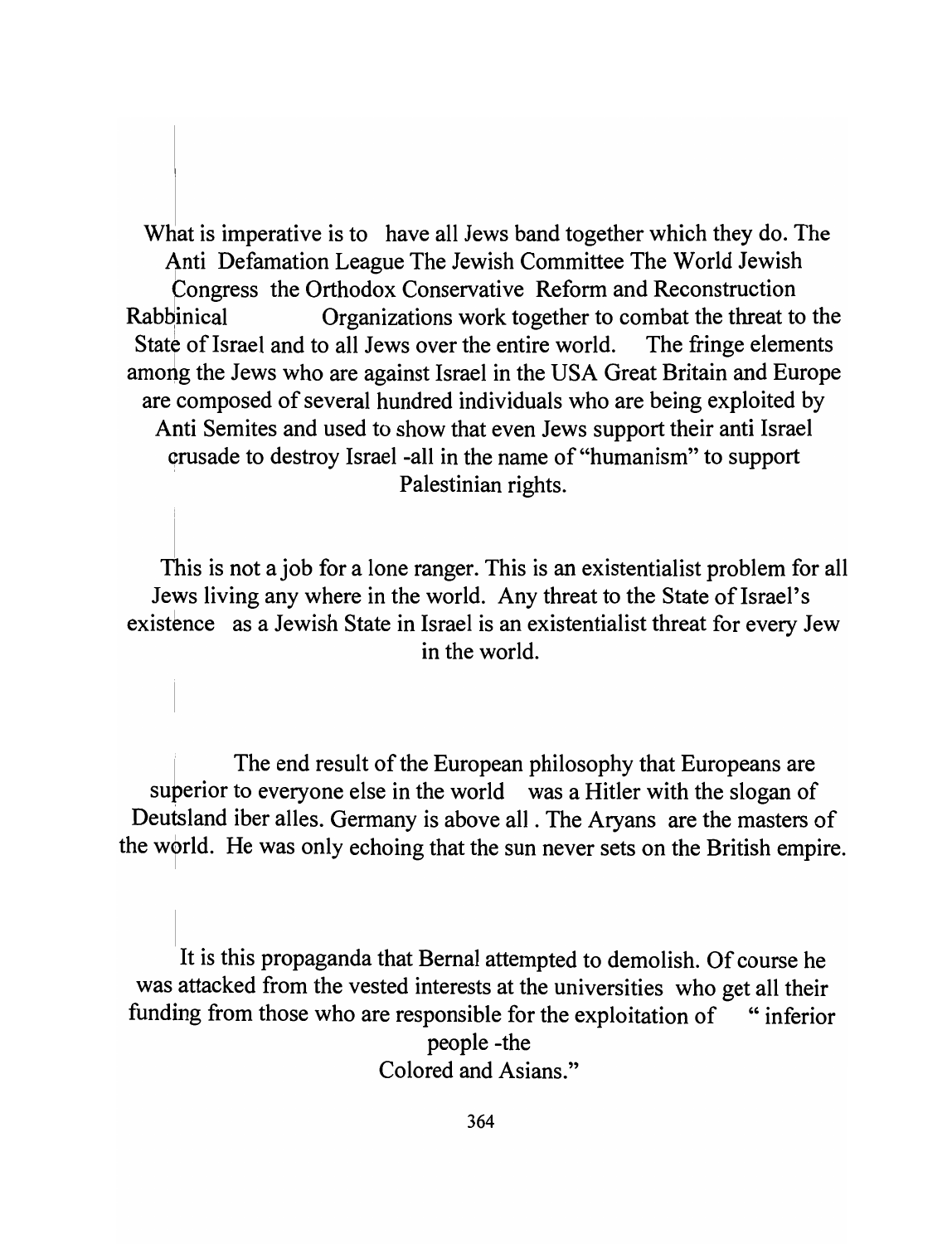What is imperative is to have all Jews band together which they do. The Anti Defamation League The Jewish Committee The World Jewish Congress the Orthodox Conservative Reform and Reconstruction Rabbinical Crganizations work together to combat the threat to the State of Israel and to all Jews over the entire world. The fringe elements among the Jews who are against Israel in the USA Great Britain and Europe are composed of several hundred individuals who are being exploited by Anti Semites and used to show that even Jews support their anti Israel ~rusade to destroy Israel -all in the name of "humanism" to support Palestinian rights.

This is not a job for a lone ranger. This is an existentialist problem for all Jews living any where in the world. Any threat to the State of Israel's existence as a Jewish State in Israel is an existentialist threat for every Jew in the world.

The end result of the European philosophy that Europeans are superior to everyone else in the world was a Hitler with the slogan of Deutsland iber alles. Germany is above all . The Aryans are the masters of the world. He was only echoing that the sun never sets on the British empire.

It is this propaganda that Bernal attempted to demolish. Of course he was attacked from the vested interests at the universities who get all their funding from those who are responsible for the exploitation of "inferior" people -the Colored and Asians."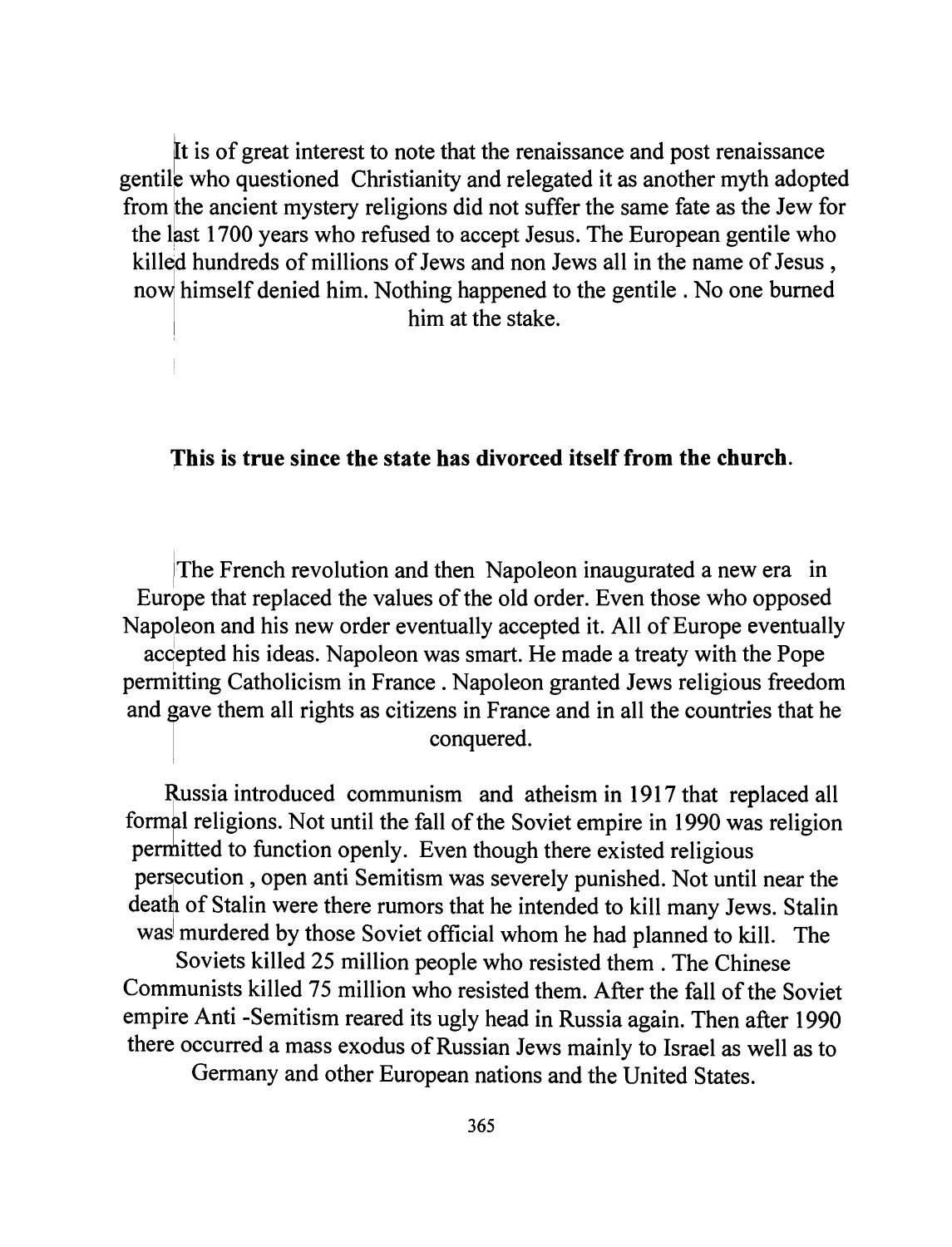It is of great interest to note that the renaissance and post renaissance gentile who questioned Christianity and relegated it as another myth adopted from the ancient mystery religions did not suffer the same fate as the Jew for the last 1700 years who refused to accept Jesus. The European gentile who killed hundreds of millions of Jews and non Jews all in the name of Jesus, ht identified him. Nothing happened to the gentile. No one burned him at the stake.

#### 1his is true since the state has divorced itself from the church.

The French revolution and then Napoleon inaugurated a new era in Europe that replaced the values of the old order. Even those who opposed Napoleon and his new order eventually accepted it. All of Europe eventually accepted his ideas. Napoleon was smart. He made a treaty with the Pope permitting Catholicism in France. Napoleon granted Jews religious freedom and gave them all rights as citizens in France and in all the countries that he conquered.

Russia introduced communism and atheism in 1917 that replaced all formal religions. Not until the fall of the Soviet empire in 1990 was religion permitted to function openly. Even though there existed religious persecution, open anti Semitism was severely punished. Not until near the death of Stalin were there rumors that he intended to kill many Jews. Stalin was murdered by those Soviet official whom he had planned to kill. The Soviets killed 25 million people who resisted them. The Chinese Communists killed 75 million who resisted them. After the fall of the Soviet empire Anti -Semitism reared its ugly head in Russia again. Then after 1990 there occurred a mass exodus of Russian Jews mainly to Israel as well as to

Germany and other European nations and the United States.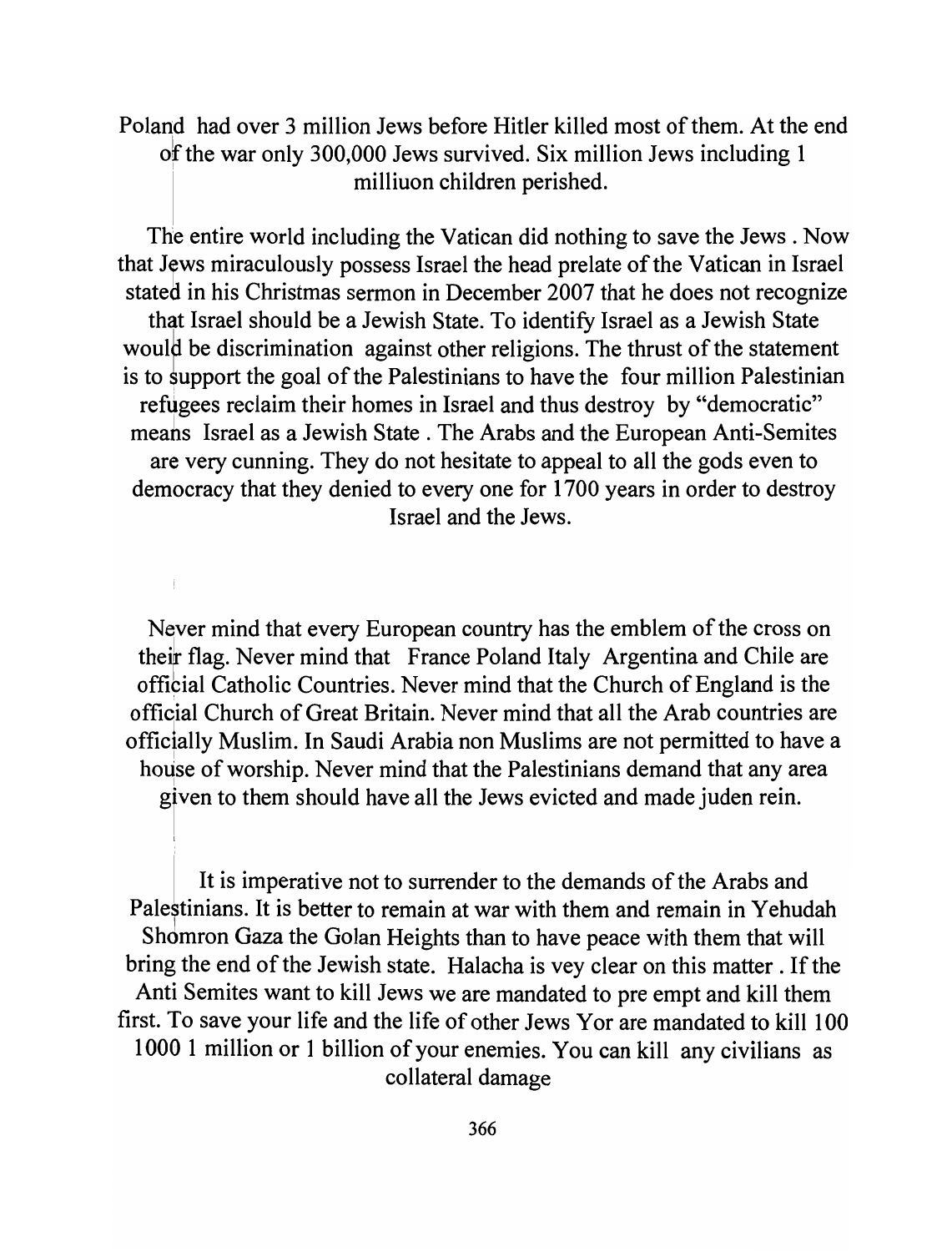Poland had over 3 million Jews before Hitler killed most of them. At the end of the war only 300,000 Jews survived. Six million Jews including 1 . milliuon children perished.

The entire world including the Vatican did nothing to save the Jews. Now that Jews miraculously possess Israel the head prelate of the Vatican in Israel stated in his Christmas sermon in December 2007 that he does not recognize that Israel should be a Jewish State. To identify Israel as a Jewish State would be discrimination against other religions. The thrust of the statement is to support the goal of the Palestinians to have the four million Palestinian refugees reclaim their homes in Israel and thus destroy by "democratic" meahs Israel as a Jewish State. The Arabs and the European Anti-Semites are very cunning. They do not hesitate to appeal to all the gods even to democracy that they denied to every one for 1700 years in order to destroy Israel and the Jews.

Never mind that every European country has the emblem of the cross on their flag. Never mind that France Poland Italy Argentina and Chile are offibial Catholic Countries. Never mind that the Church of England is the official Church of Great Britain. Never mind that all the Arab countries are officially Muslim. In Saudi Arabia non Muslims are not permitted to have a house of worship. Never mind that the Palestinians demand that any area given to them should have all the Jews evicted and made juden rein.

 $\mathord{\text{\rm l}}$ 

It is imperative not to surrender to the demands of the Arabs and Palestinians. It is better to remain at war with them and remain in Yehudah Shdmron Gaza the Golan Heights than to have peace with them that will bring the end of the Jewish state. Halacha is vey clear on this matter. If the Anti Semites want to kill Jews we are mandated to pre empt and kill them first. To save your life and the life of other Jews Yor are mandated to kill 100 1000 1 million or 1 billion of your enemies. You can kill any civilians as collateral damage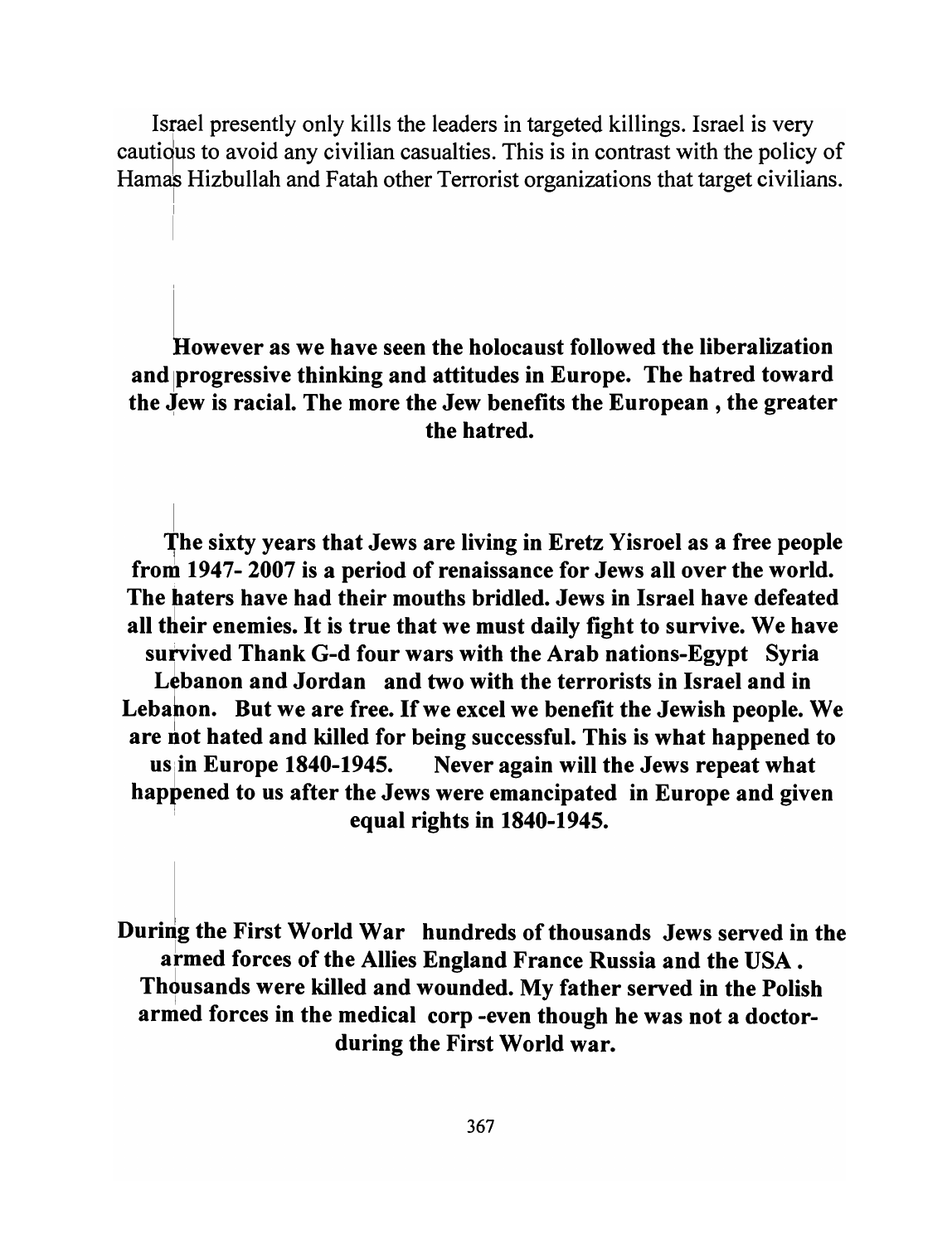Israel presently only kills the leaders in targeted killings. Israel is very cautious to avoid any civilian casualties. This is in contrast with the policy of Hamas Hizbullah and Fatah other Terrorist organizations that target civilians.

However as we have seen the holocaust followed the liberalization and progressive thinking and attitudes in Europe. The hatred toward the Jew is racial. The more the Jew benefits the European, the greater the hatred.

The sixty years that Jews are living in Eretz Yisroel as a free people from 1947- 2007 is a period of renaissance for Jews all over the world. The haters have had their mouths bridled. Jews in Israel have defeated all their enemies. It is true that we must daily fight to survive. We have survived Thank G-d four wars with the Arab nations-Egypt Syria Lebanon and Jordan and two with the terrorists in Israel and in Lebanon. But we are free. If we excel we benefit the Jewish people. We are not hated and killed for being successful. This is what happened to us in Europe 1840-1945. Never again will the Jews repeat what happened to us after the Jews were emancipated in Europe and given equal rights in 1840-1945.

During the First World War hundreds of thousands Jews served in the armed forces of the Allies England France Russia and the USA. Thousands were killed and wounded. My father served in the Polish armed forces in the medical corp -even though he was not a doctorduring the First World war.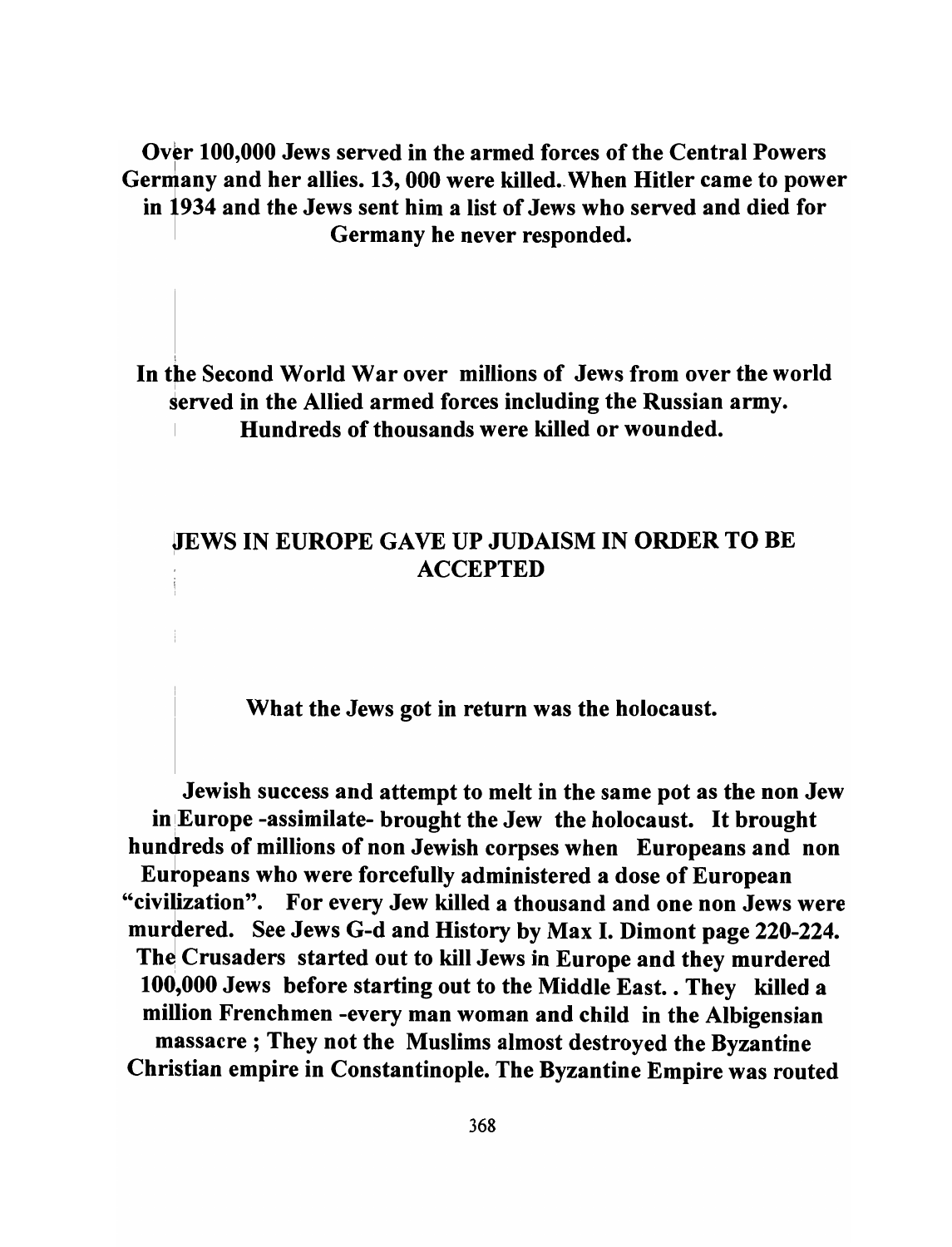Over 100,000 Jews served in the armed forces of the Central Powers Germany and her allies. 13, 000 were killed. When Hitler came to power in 1934 and the Jews sent him a list of Jews who served and died for Germany he never responded.

In the Second World War over millions of Jews from over the world served in the Allied armed forces including the Russian army. <sup>I</sup>Hundreds of thousands were killed or wounded.

### **JIEWS IN EUROPE GAVE UP JUDAISM IN ORDER TO BE ACCEPTED**

# What the Jews got in return was the holocaust.

Jewish success and attempt to melt in the same pot as the non Jew in!Europe -assimilate- brought the Jew the holocaust. It brought hundreds of millions of non Jewish corpses when Europeans and non Eutopeans who were forcefully administered a dose of European "civilization". For every Jew killed a thousand and one non Jews were murdered. See Jews G-d and History by Max I. Dimont page 220-224. The Crusaders started out to kill Jews in Europe and they murdered 100,000 Jews before starting out to the Middle East. . They killed a million Frenchmen -every man woman and child in the Albigensian massacre; They not the Muslims almost destroyed the Byzantine Christian empire in Constantinople. The Byzantine Empire was routed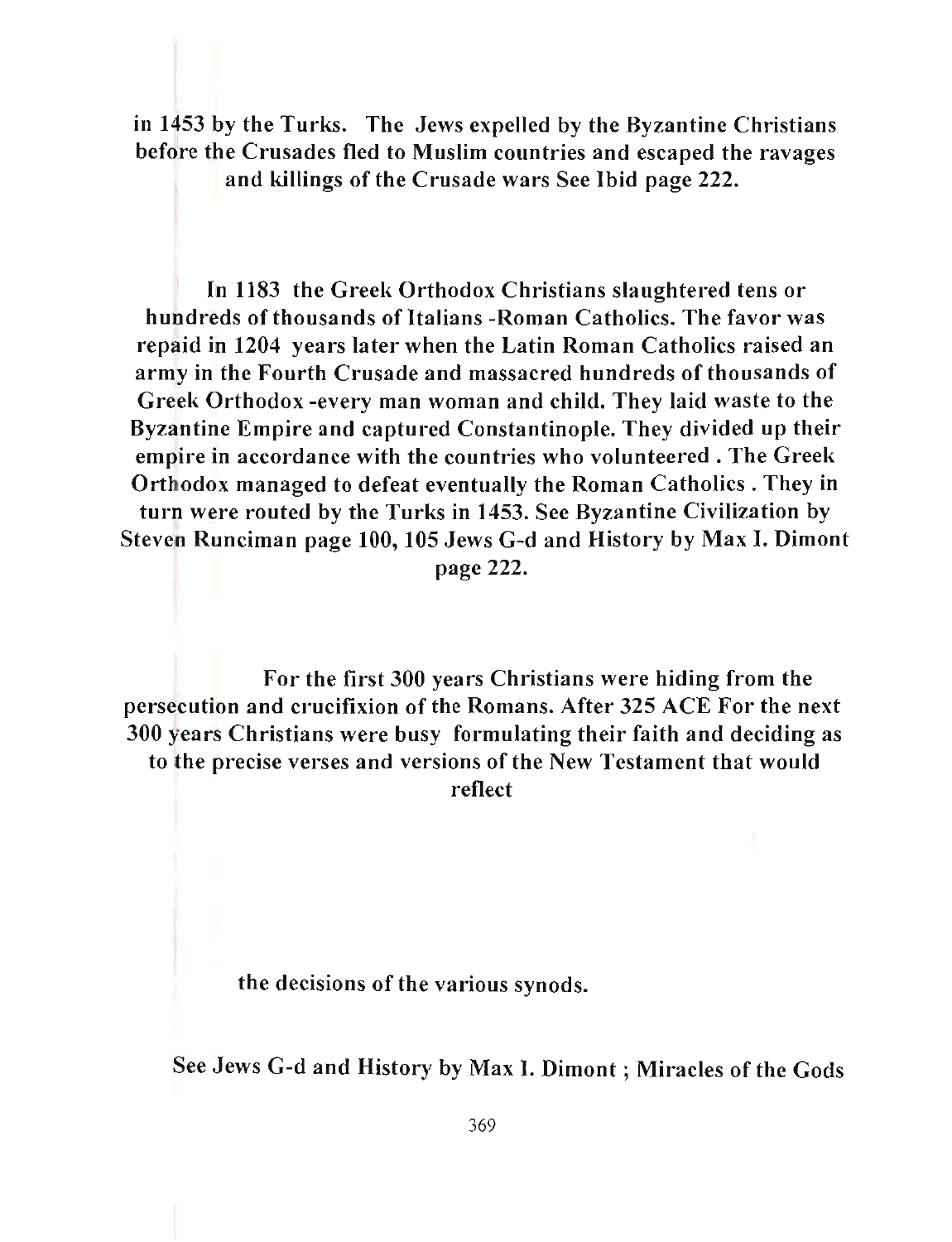in 1453 by the Turks. The Jews expelled by the Byzantine Christians before the Crusades fled to Muslim countries and escaped the ravages and killings of the Crusade wars See Ibid page 222.

In 1183 the Greek Orthodox Christians slaughtered tens or hundreds of thousands of Italians -Roman Catholics. The favor was I'epaid in 1204 years later when the Latin Roman Catholics raised an army in the Fourth Crusade and massacred hundreds of thousands of Greek Orthodox -every man woman and child. They laid waste to the Byzantine Empire and captured Constantinople. They divided up their empire in accordance with the countries who volunteered. The Greek Orthodox managed to defeat eventually the Roman Catholics . They in turn were routed by the Turks in 1453. See Byzantine Civilization by Steven Runciman page 100, 105 Jews G-d and History by Max I. Dimont page 222.

For the first 300 years Christians were hiding from the persecution and crucifixion of the Romans. After 325 ACE For the next 300 years Christians were busy formulating their faith and deciding as to the precise verses and versions of the New Testament that would reflect

the decisions of the various synods.

See Jews G-d and History by Max I. Dimont ; Miracles of the Gods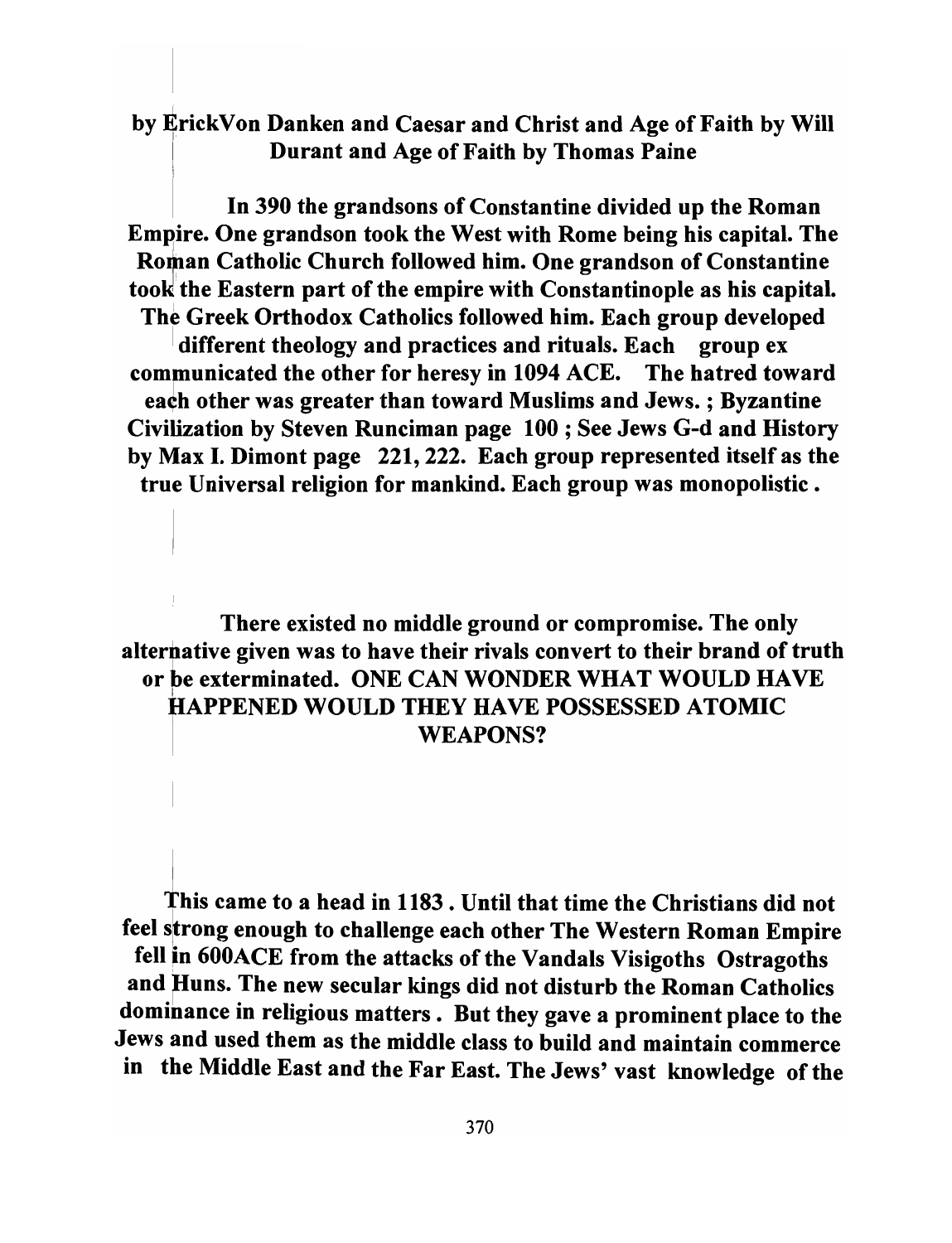# by ErickVon Danken and Caesar and Christ and Age of Faith by Will Durant and Age of Faith by Thomas Paine

In 390 the grandsons of Constantine divided up the Roman Empire. One grandson took the West with Rome being his capital. The Roman Catholic Church followed him. One grandson of Constantine took the Eastern part of the empire with Constantinople as his capital. The Greek Orthodox Catholics followed him. Each group developed different theology and practices and rituals. Each group ex communicated the other for heresy in 1094 ACE. The hatred toward each other was greater than toward Muslims and Jews. ; Byzantine Civilization by Steven Runciman page 100; See Jews G-d and History by Max I. Dimont page 221, 222. Each group represented itself as the true Universal religion for mankind. Each group was monopolistic.

# There existed no middle ground or compromise. The only alternative given was to have their rivals convert to their brand of truth or be exterminated. ONE CAN WONDER WHAT WOULD HAVE I HAPPENED WOULD THEY HAVE POSSESSED ATOMIC WEAPONS?

This came to a head in 1183 . Until that time the Christians did not feel strong enough to challenge each other The Western Roman Empire fell in 600ACE from the attacks of the Vandals Visigoths Ostragoths and Huns. The new secular kings did not disturb the Roman Catholics dominance in religious matters. But they gave a prominent place to the Jews and used them as the middle class to build and maintain commerce in the Middle East and the Far East. The Jews' vast knowledge of the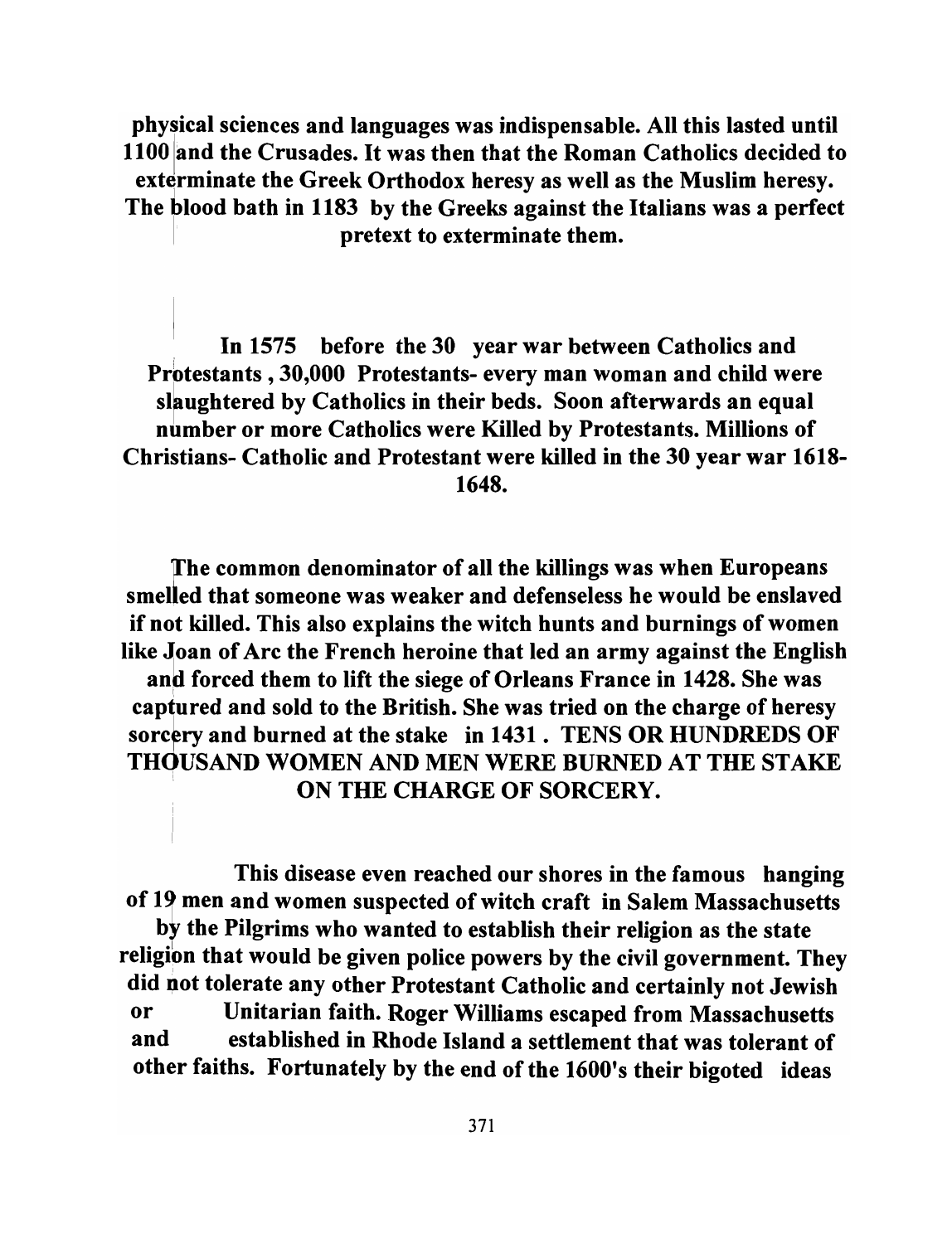physical sciences and languages was indispensable. All this lasted until 11 00 land the Crusades. It was then that the Roman Catholics decided to exterminate the Greek Orthodox heresy as well as the Muslim heresy. 1 The blood bath in 1183 by the Greeks against the Italians was a perfect pretext to exterminate them.

, In 1575 before the 30 year war between Catholics and Prbtestants ,30,000 Protestants- every man woman and child were slaughtered by Catholics in their beds. Soon afterwards an equal number or more Catholics were Killed by Protestants. Millions of Christians- Catholic and Protestant were killed in the 30 year war 1618- 1648.

ffhe common denominator of all the killings was when Europeans smelled that someone was weaker and defenseless he would be enslaved if not killed. This also explains the witch hunts and burnings of women like Joan of Arc the French heroine that led an army against the English and forced them to lift the siege of Orleans France in 1428. She was captured and sold to the British. She was tried on the charge of heresy sorcery and burned at the stake in 1431. TENS OR HUNDREDS OF THOUSAND WOMEN AND MEN WERE BURNED AT THE STAKE . ON THE CHARGE OF SORCERY.

This disease even reached our shores in the famous hanging of 19 men and women suspected of witch craft in Salem Massachusetts by the Pilgrims who wanted to establish their religion as the state religion that would be given police powers by the civil government. They did not tolerate any other Protestant Catholic and certainly not Jewish or Unitarian faith. Roger Williams escaped from Massachusetts and established in Rhode Island a settlement that was tolerant of other faiths. Fortunately by the end of the 1600's their bigoted ideas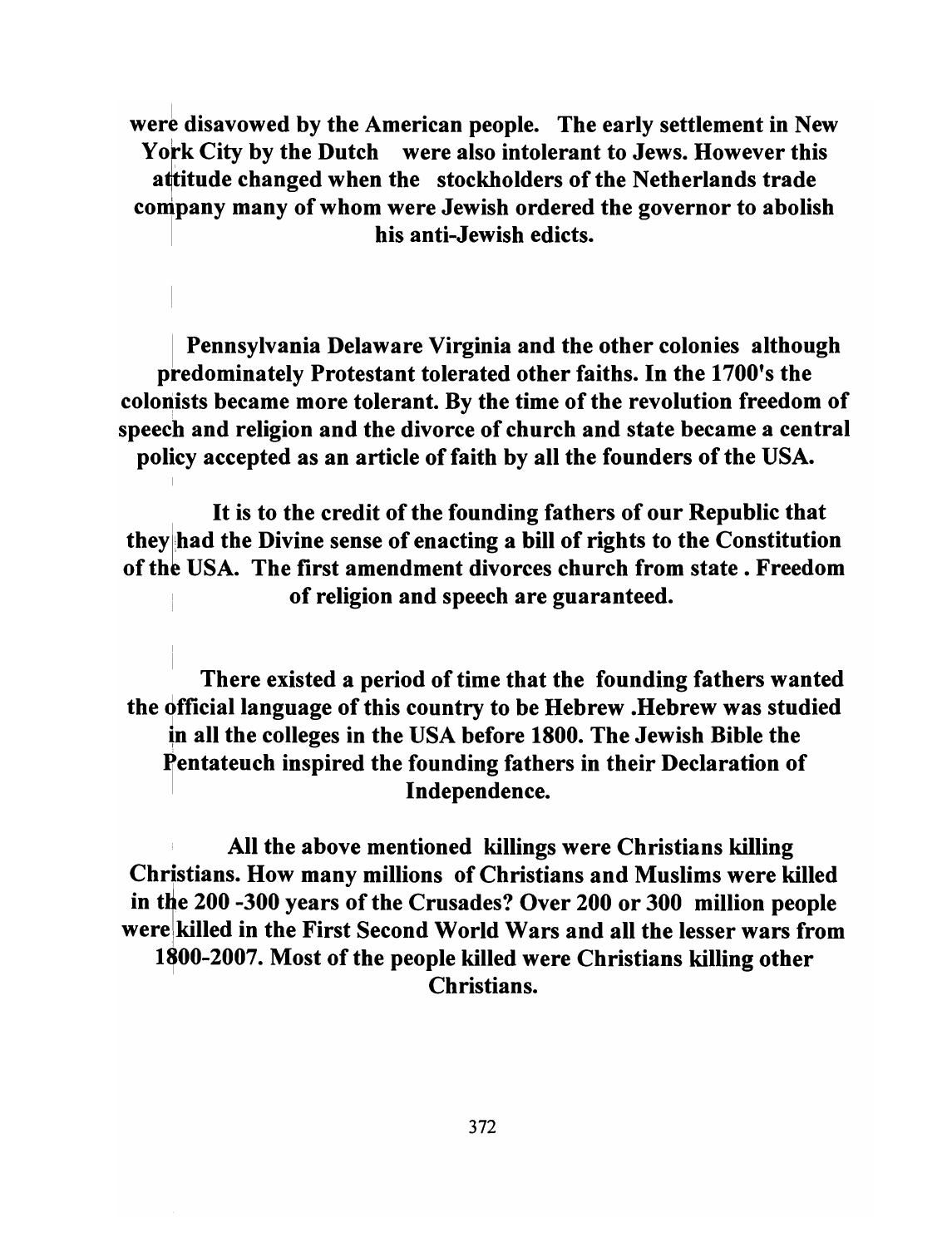were disavowed by the American people. The early settlement in New York City by the Dutch were also intolerant to Jews. However this attitude changed when the stockholders of the Netherlands trade company many of whom were Jewish ordered the governor to abolish his anti-Jewish edicts.

Pennsylvania Delaware Virginia and the other colonies although predominately Protestant tolerated other faiths. In the 1700's the colonists became more tolerant. By the time of the revolution freedom of speech and religion and the divorce of church and state became a central policy accepted as an article of faith by all the founders of the USA.

It is to the credit of the founding fathers of our Republic that they had the Divine sense of enacting a bill of rights to the Constitution of the USA. The first amendment divorces church from state. Freedom of religion and speech are guaranteed.

There existed a period of time that the founding fathers wanted the official language of this country to be Hebrew .Hebrew was studied in all the colleges in the USA before 1800. The Jewish Bible the Pentateuch inspired the founding fathers in their Declaration of Independence.

All the above mentioned killings were Christians killing Christians. How many millions of Christians and Muslims were killed in the 200 -300 years of the Crusades? Over 200 or 300 million people werelkilled in the First Second World Wars and all the lesser wars from 1800-2007. Most of the people killed were Christians killing other Christians.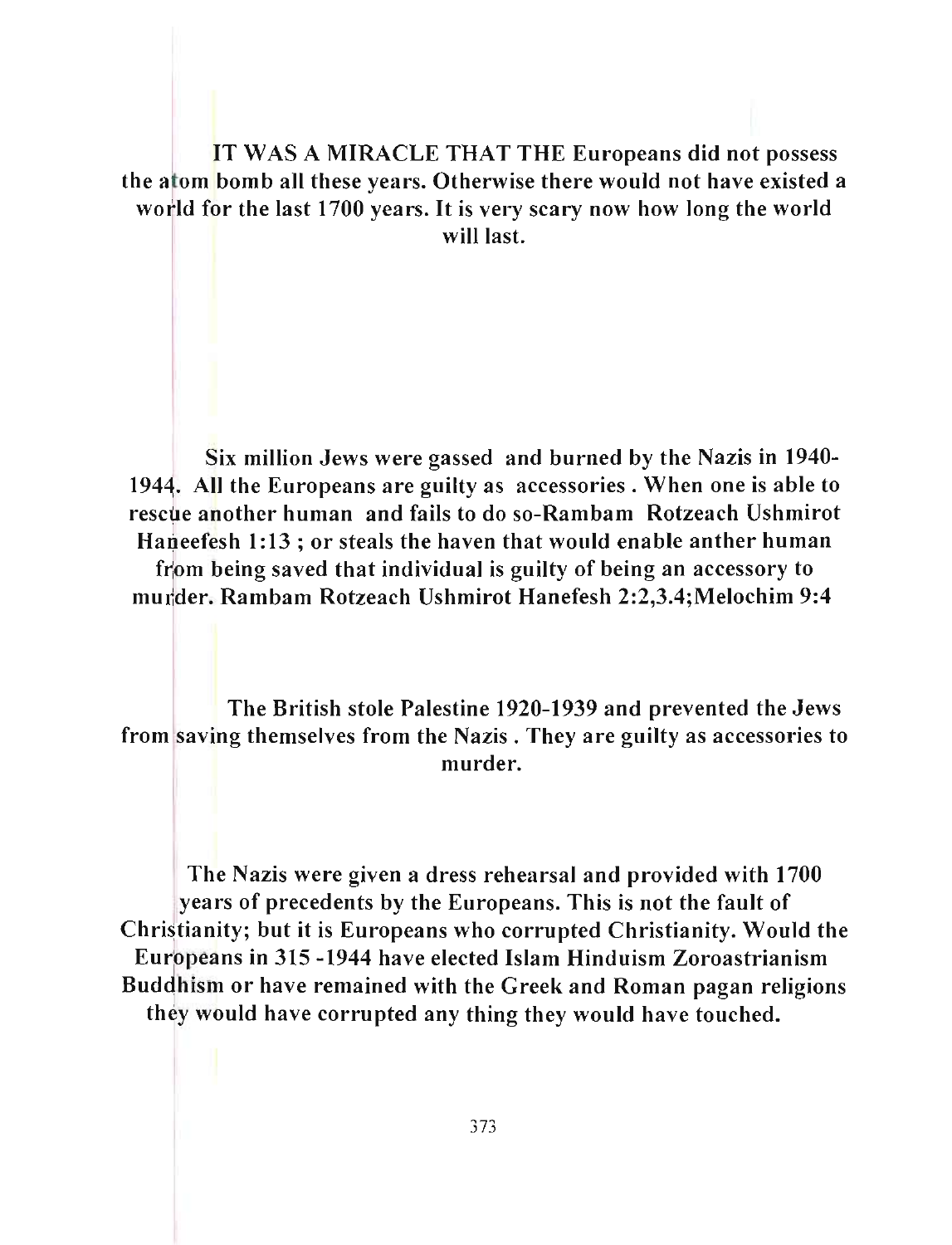IT WAS A MIRACLE THAT THE Europeans did not possess<br>tom bomb all these years. Otherwise there would not have existed a the atom bomb all these years. Otherwise there would not have existed a world for the last 1700 years. It is very scary now how long the world will last.

Six million Jews were gassed and burned by the Nazis in 1940- 1944. All the Europeans are guilty as accessories. When one is able to rescue another human and fails to do so-Rambam Rotzeach Ushmirot Haneefesh 1:13 ; or steals the haven that would enable anther human from being saved that individual is guilty of being an accessory to murder. Rambam Rotzeach Ushmirot Hanefesh 2:2,3.4;Melochim 9:4

The British stole Palestine 1920-1939 and prevented the Jews from saving themselves from the Nazis. They are guilty as accessories to murder.

The Nazis were given a dress rehearsal and provided with 1700 years of precedents by the Europeans. This is not the fault of Christianity; but it is Europeans who corrupted Christianity. Would the Europeans in 315 -1944 have elected Islam Hinduism Zoroastrianism Buddhism or have remained with the Greek and Roman pagan religions they would have corrupted any thing they would have touched.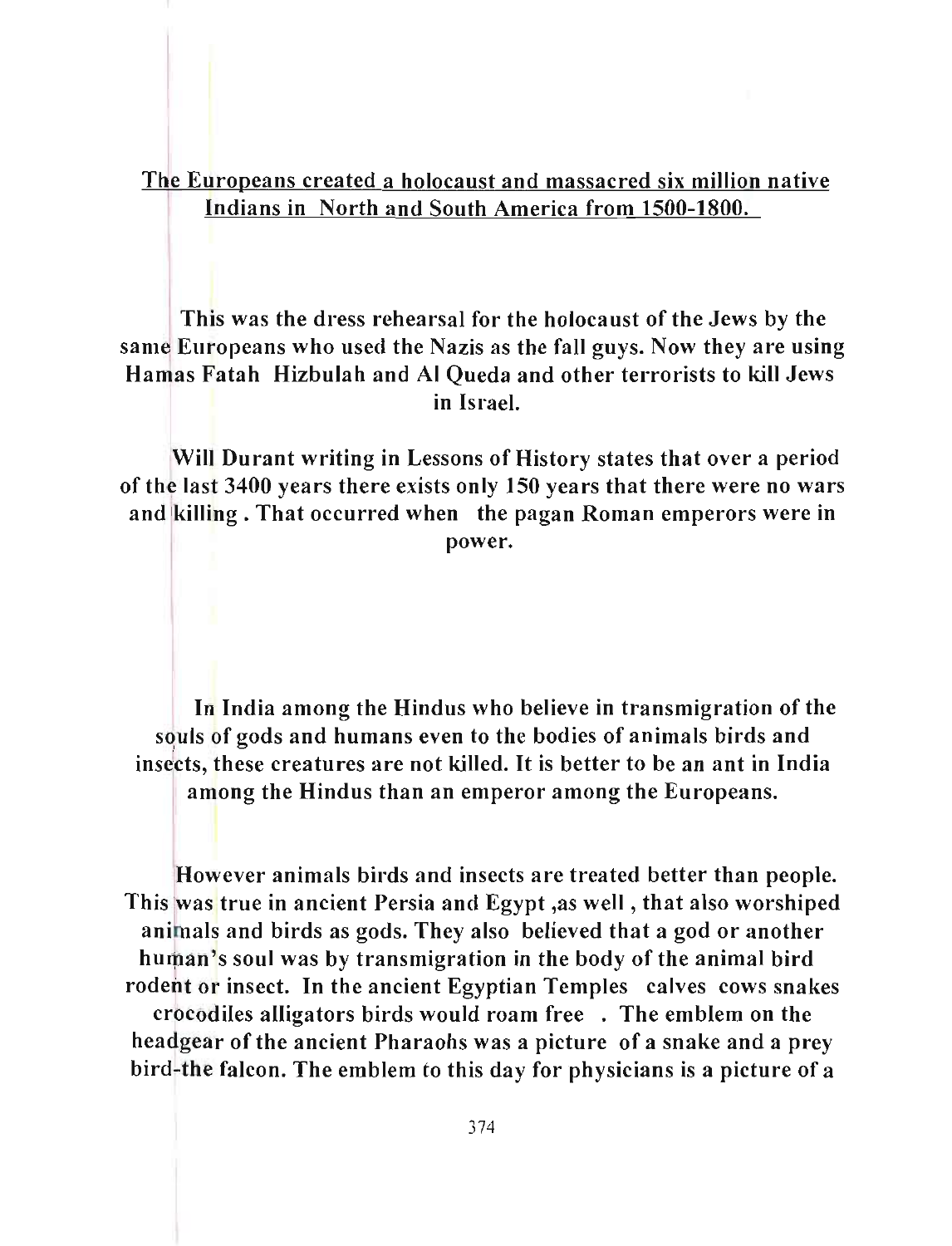The Europeans created a holocaust and massacred six million native Indians in North and South America from 1500-1800.

This was the dress rehearsal for the holocaust of the Jews by the same Europeans who used the Nazis as the fall guys. Now they are using Hanias Fatah Hizbulah and AI Queda and other terrorists to kill Jews in Israel.

Will Durant writing in Lessons of History states that over a period of the last 3400 years there exists only 150 years that there were no wars and killing. That occurred when the pagan Roman emperors were in power.

In India among the Hindus who believe in transmigration of the souls of gods and humans even to the bodies of animals birds and insects, these creatures are not killed. It is better to be an ant in India among the Hindus than an emperor among the Europeans.

However animals birds and insects are treated better than people. This was true in ancient Persia and Egypt, as well, that also worshiped animals and birds as gods. They also believed that a god or another human's soul was by transmigration in the body of the animal bird rodent or insect. In the ancient Egyptian Temples calves cows snakes crocodiles alligators birds would roam free . The emblem on the headgear of the ancient Pharaohs was a picture of a snake and a prey bird-the falcon. The emblem to this day for physicians is a picture of a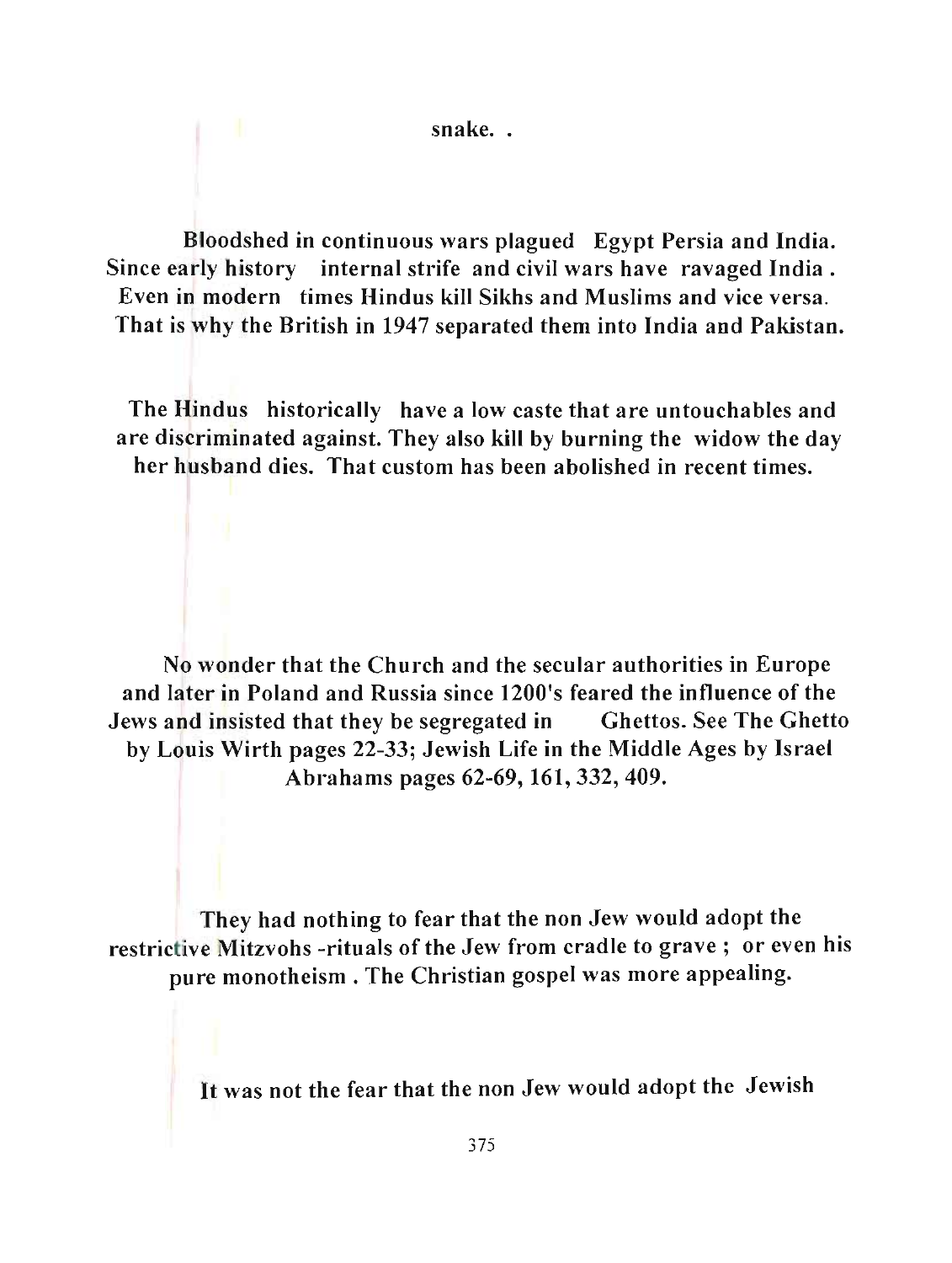snake..

Bloodshed in continuous wars plagued Egypt Persia and India. Since early history internal strife and civil wars have ravaged India . Even in modern times Hindus kill Sikhs and Muslims and vice versa. That is why the British in 1947 separated them into India and Pakistan.

The Hindus historically have a low caste that are untouchables and are discriminated against. They also kill by burning the widow the day her husband dies. That custom has been abolished in recent times.

No wonder that the Church and the secular authorities in Europe and later in Poland and Russia since 1200's feared the influence of the Jews and insisted that they be segregated in Ghettos. See The Ghetto by Louis Wirth pages 22-33; Jewish Life in the Middle Ages by Israel Abrahams pages 62-69, 161,332,409.

They had nothing to fear that the non Jew would adopt the restrictive Mitzvohs -rituals of the Jew from cradle to grave; or even his pure monotheism. The Christian gospel was more appealing.

It was not the fear that the non Jew would adopt the Jewish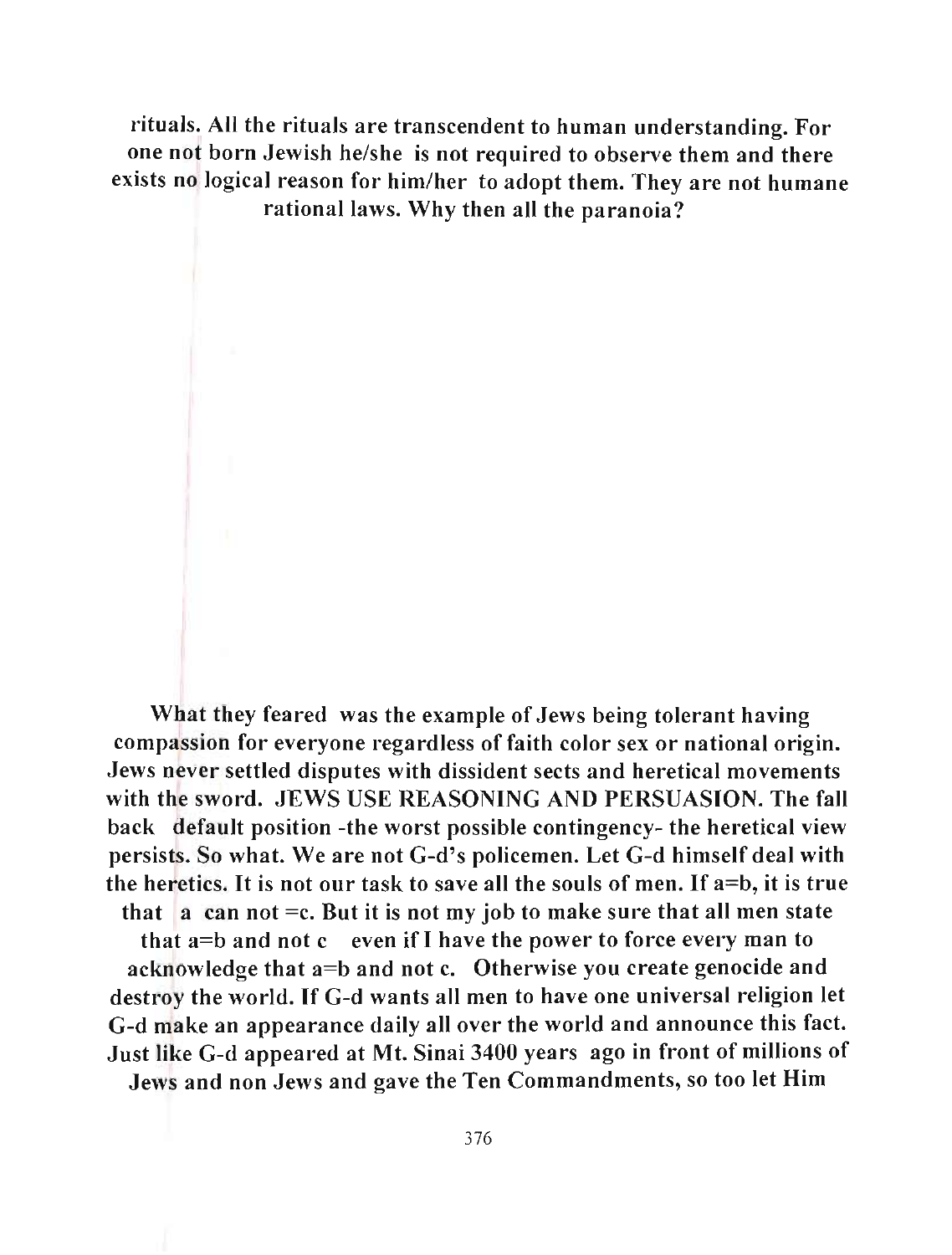rituals. All the rituals are transcendent to human understanding. For one not born Jewish he/she is not required to observe them and there exists no logical reason for him/her to adopt them. They are not humane rational laws. Why then all the paranoia?

What they feared was the example of Jews being tolerant having compassion for everyone regardless of faith color sex or national origin. Jews never settled disputes with dissident sects and heretical movements with the sword. JEWS USE REASONING AND PERSUASION. The fall back default position -the worst possible contingency- the heretical view persists. So what. We are not G-d's policemen. Let G-d himself deal with the heretics. It is not our task to save all the souls of men. If a=b, it is true that a can not = c. But it is not my job to make sure that all men state that  $a=b$  and not c even if I have the power to force every man to acknowledge that a=b and not c. Otherwise you create genocide and destroy the world. If G-d wants all men to have one universal religion let G-d make an appearance daily all over the world and announce this fact. Just like G-d appeared at Mt. Sinai 3400 years ago in front of millions of Jews and non Jews and gave the Ten Commandments, so too let Him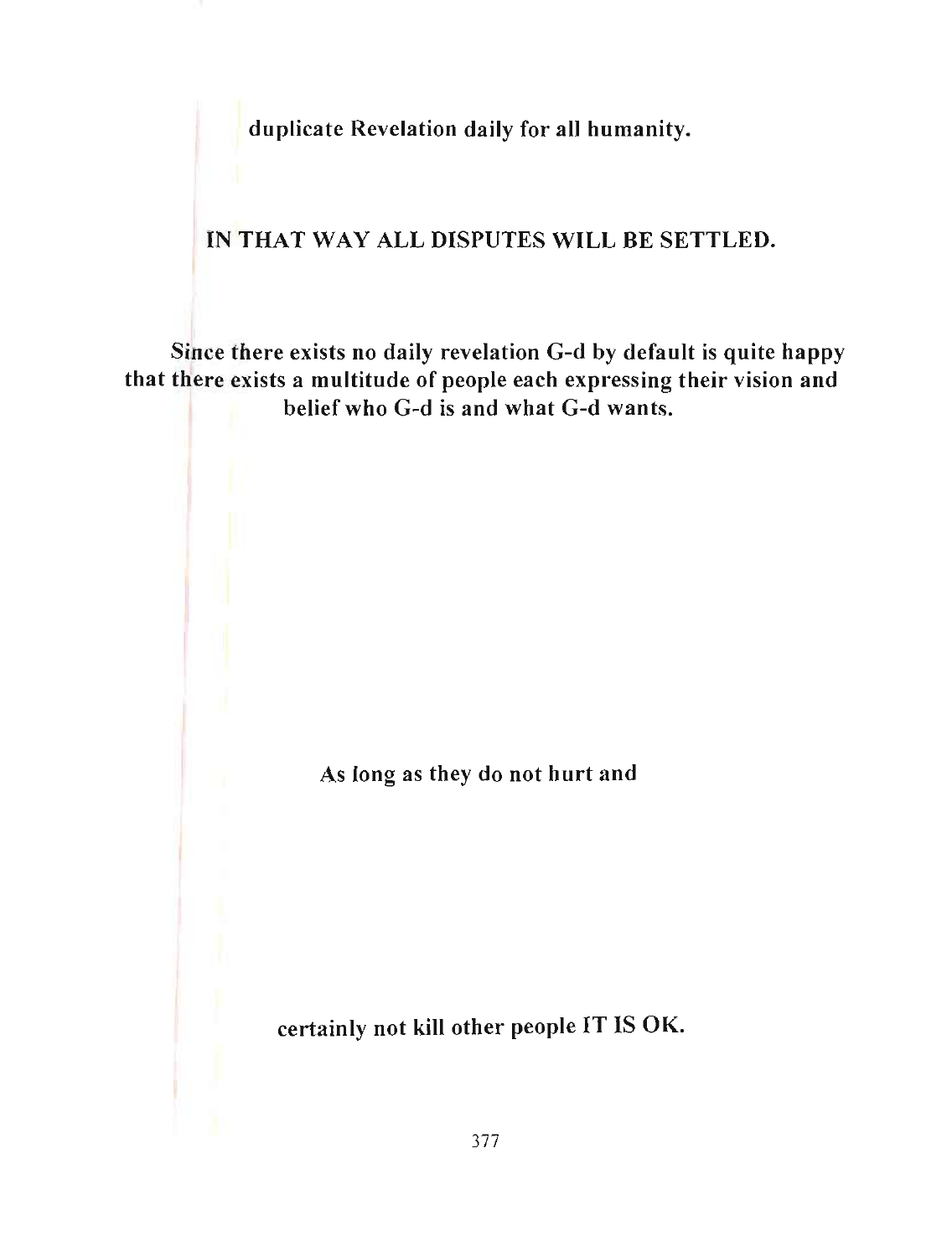duplicate Revelation daily for all humanity.

## IN THAT WAY ALL DISPUTES WILL BE SETTLED.

Since there exists no daily revelation G-d by default is quite happy that there exists a multitude of people each expressing their vision and belief who G-d is and what G-d wants.

As long as they do not hurt and

certainly not kill other people IT IS OK.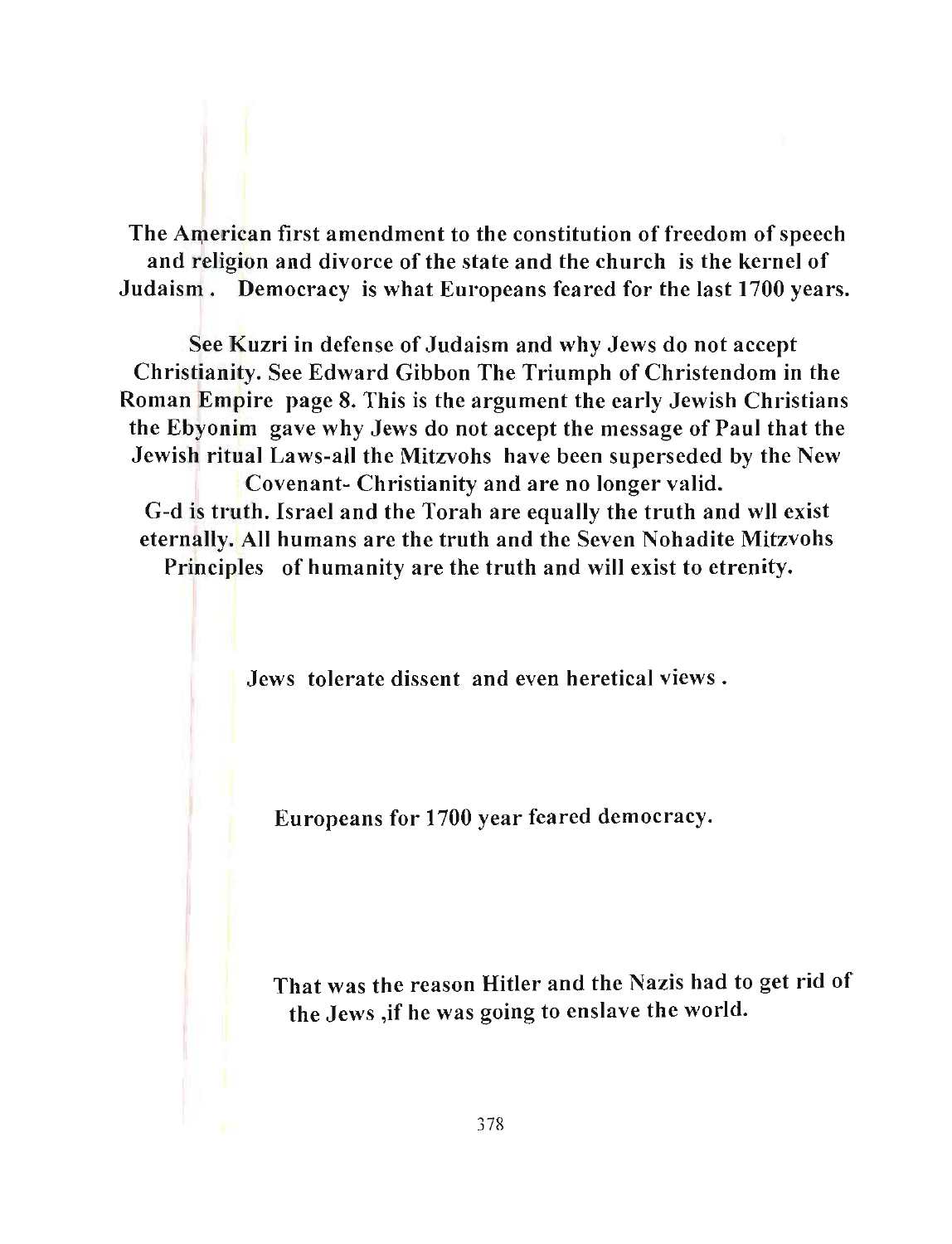The American first amendment to the constitution of freedom of speech and religion and divorce of the state and the church is the kernel of Judaism. Democracy is what Europeans feared for the last 1700 years.

See Kuzri in defense of Judaism and why Jews do not accept Christianity. See Edward Gibbon The Triumph of Christendom in the Roman Empire page 8. This is the argument the early Jewish Christians the Ebyonim gave why Jews do not accept the message of Paul that the Jewish ritual Laws-all the Mitzvohs have been superseded by the New Covenant- Christianity and are no longer valid. G-d is truth. Israel and the Torah are equally the truth and wll exist

eternally. All humans are the truth and the Seven Nohadite Mitzvohs Principles of humanity are the truth and will exist to etrenity.

Jews tolerate dissent and even heretical views.

Europeans for 1700 year feared democracy.

That was the reason Hitler and the Nazis had to get rid of the Jews ,if he was going to enslave the world.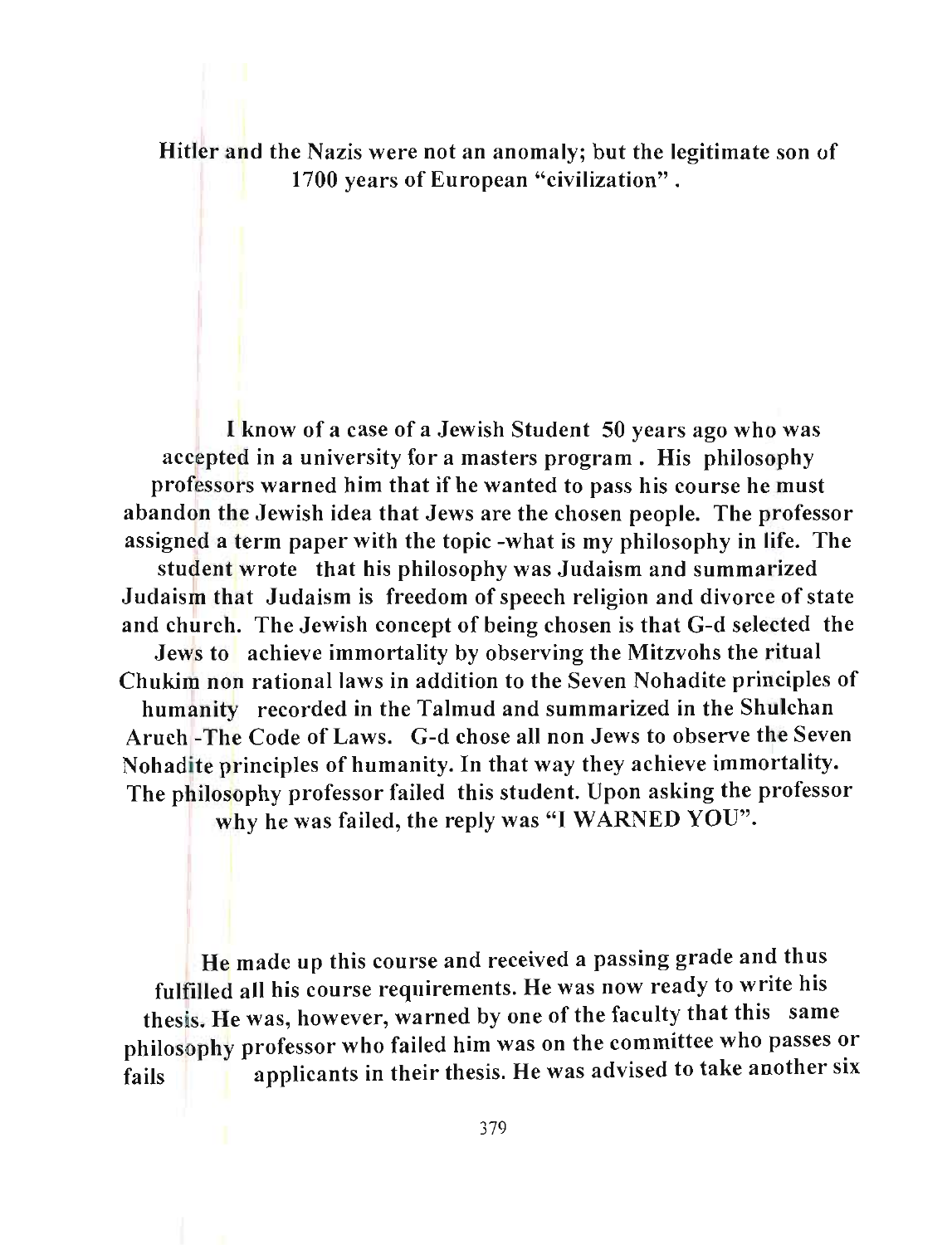Hitler and the Nazis were not an anomaly; but the legitimate son of 1700 years of European "civilization" .

I know of a case of a Jewish Student 50 years ago who was accepted in a university for a masters program. His philosophy professors warned him that if he wanted to pass his course he must abandon the Jewish idea that Jews are the chosen people. The professor assigned a term paper with the topic -what is my philosophy in life. The

student wrote that his philosophy was Judaism and summarized Judaism that Judaism is freedom of speech religion and divorce of state and church. The Jewish concept of being chosen is that G-d selected the Jews to achieve immortality by observing the Mitzvohs the ritual Chukim non rational laws in addition to the Seven Nohadite principles of humanity recorded in the Talmud and summarized in the Shulchan Aruch -The Code of Laws. G-d chose all non Jews to observe the Seven Nohadite principles of humanity. In that way they achieve immortality. The philosophy professor failed this student. Upon asking the professor

why he was failed, the reply was "I WARNED YOU".

He made up this course and received a passing grade and thus fulfilled all his course requirements. He was now ready to write his thesis. He was, however, warned by one of the faculty that this same philosophy professor who failed him was on the committee who passes or fails **a** applicants in their thesis. He was advised to take another six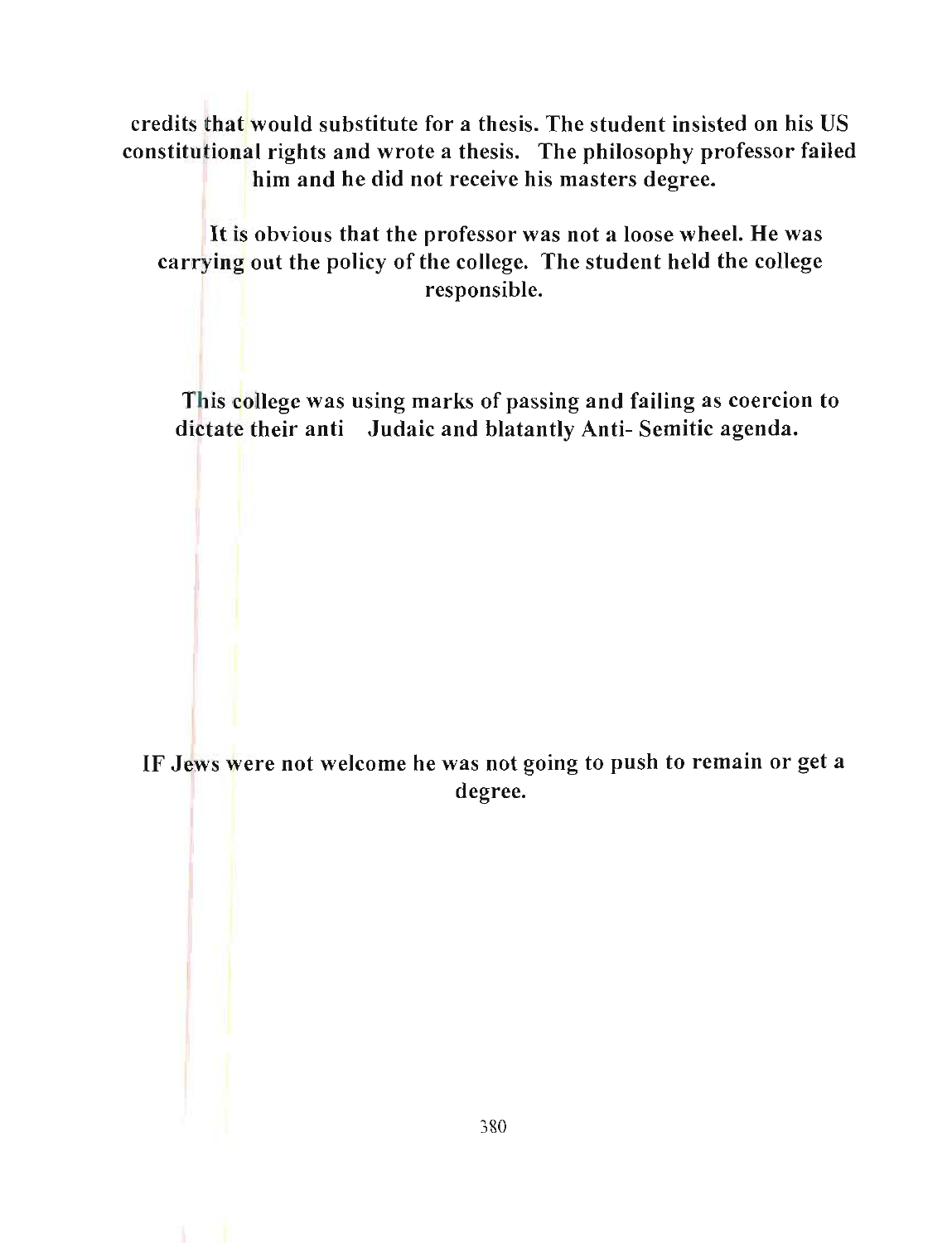credits that would substitute for a thesis. The student insisted on his US constitutional rights and wrote a thesis. The philosophy professor failed him and he did not receive his masters degree.

It is obvious that the professor was not a loose wheel. He was carrying out the policy of the college. The student held the college responsible.

This college was using marks of passing and failing as coercion to dictate their anti Judaic and blatantly Anti- Semitic agenda.

IF Jews were not welcome he was not going to push to remain or get a degree.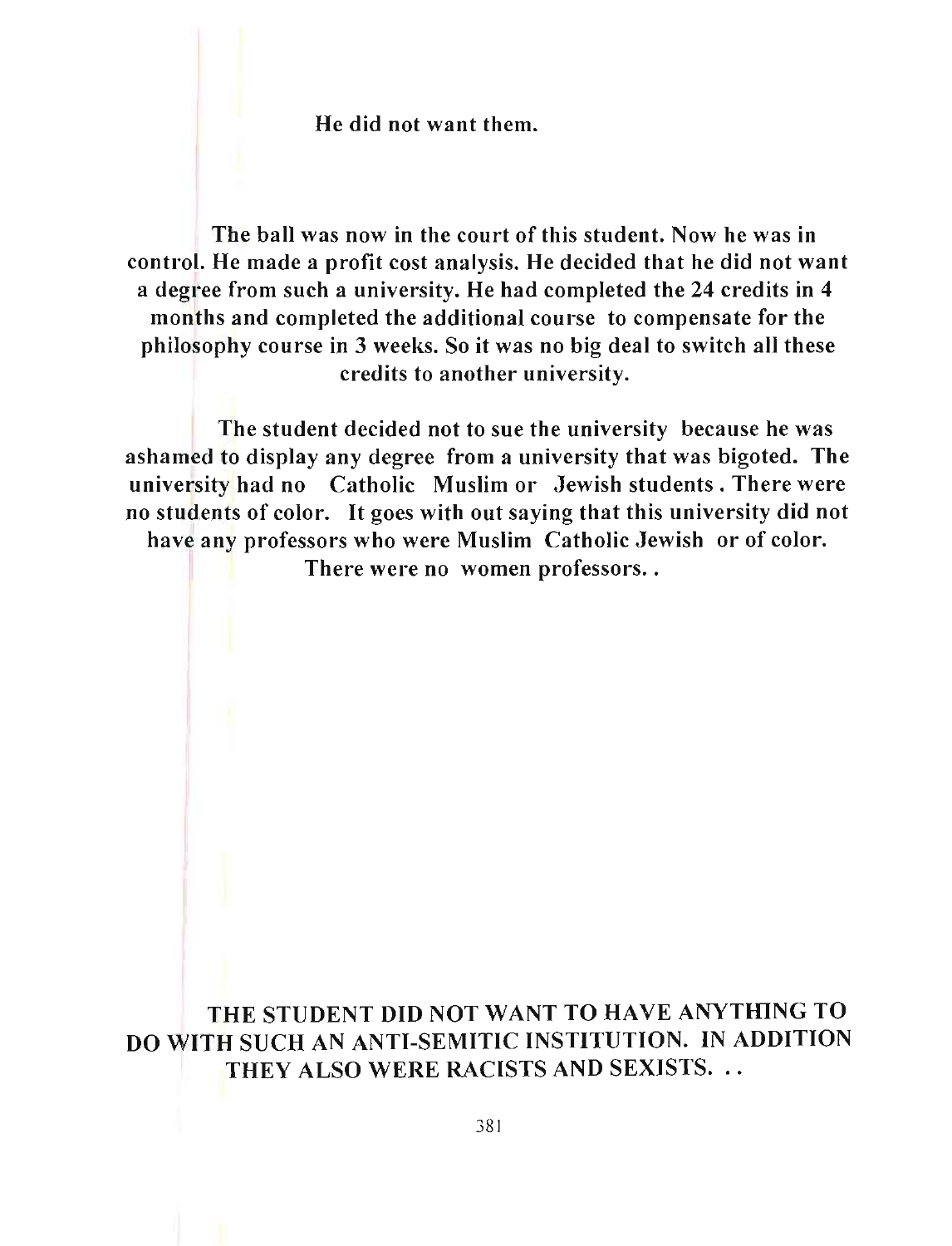He did not want them.

The ball was now in the court of this student. Now he was in control. He made a profit cost analysis. He decided that he did not want a degree from such a university. He had completed the 24 credits in 4 months and completed the additional course to compensate for the philosophy course in 3 weeks. So it was no big deal to switch aU these credits to another university.

The student decided not to sue the university because he was ashamed to display any degree from a university that was bigoted. The university had no Catholic Muslim or Jewish students. There were no students of color. It goes with out saying that this university did not have any professors who were Muslim Catholic Jewish or of color. There were no women professors..

THE STUDENT DID NOT WANT TO HAVE ANYTHING TO DO WITH SUCH AN ANTI-SEMITIC INSTITUTION. IN ADDITION THEY ALSO WERE RACISTS AND SEXISTS.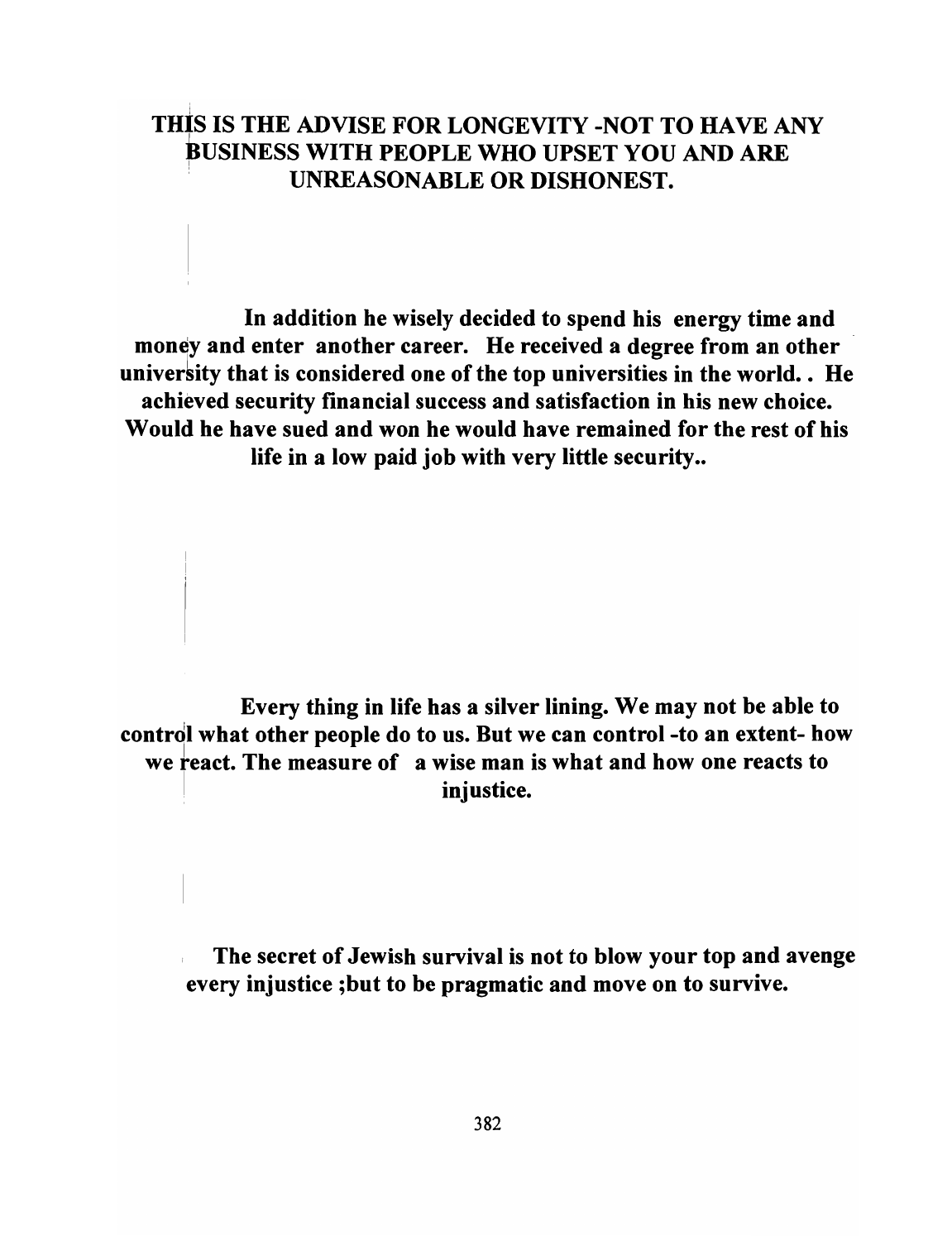# THIS IS THE ADVISE FOR LONGEVITY -NOT TO HAVE ANY BUSINESS WITH PEOPLE WHO UPSET YOU AND ARE , UNREASONABLE OR DISHONEST.

In addition he wisely decided to spend his energy time and money and enter another career. He received a degree from an other university that is considered one of the top universities in the world.. He achieved security financial success and satisfaction in his new choice. Would he have sued and won he would have remained for the rest of his life in a low paid job with very little security..

Every thing in life has a silver lining. We may not be able to contrdl what other people do to us. But we can control -to an extent- how we react. The measure of a wise man is what and how one reacts to injustice.

The secret of Jewish survival is not to blow your top and avenge every injustice ;but to be pragmatic and move on to survive.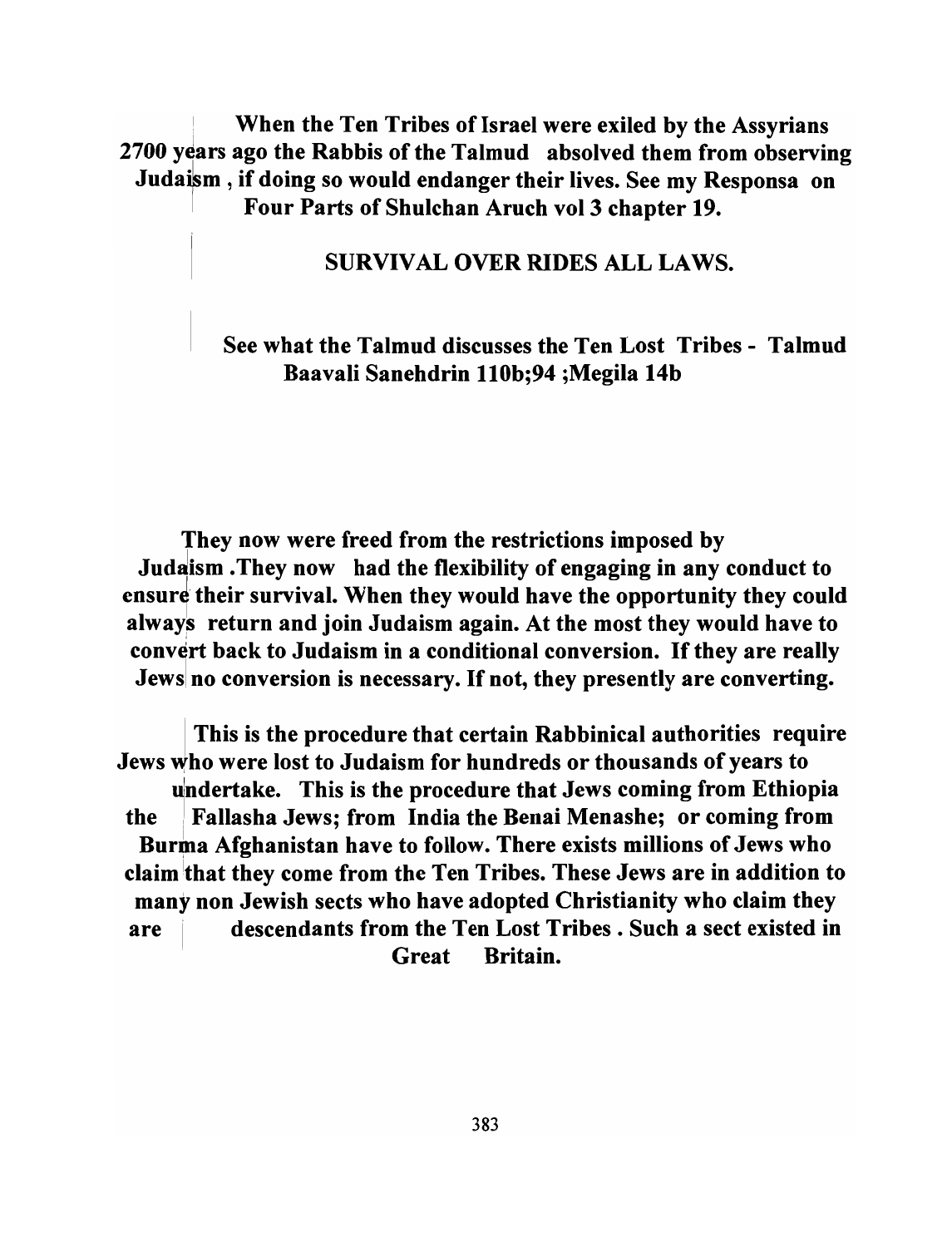When the Ten Tribes of Israel were exiled by the Assyrians 2700 years ago the Rabbis of the Talmud absolved them from observing Judaikm , if doing so would endanger their lives. See my Responsa on Four Parts of Shulchan Aruch vol 3 chapter 19.

### SURVIVAL OVER RIDES ALL LAWS.

### See what the Talmud discusses the Ten Lost Tribes - Talmud Baavali Sanehdrin 110b;94 ;Megila 14b

They now were freed from the restrictions imposed by Judaism . They now had the flexibility of engaging in any conduct to ensure their survival. When they would have the opportunity they could always return and join Judaism again. At the most they would have to convert back to Judaism in a conditional conversion. If they are really Jews no conversion is necessary. If not, they presently are converting.

This is the procedure that certain Rabbinical authorities require Jews Who were lost to Judaism for hundreds or thousands of years to undertake. This is the procedure that Jews coming from Ethiopia the i Fallasha Jews; from India the Benai Menashe; or coming from Burma Afghanistan have to follow. There exists millions of Jews who claim that they come from the Ten Tribes. These Jews are in addition to many non Jewish sects who have adopted Christianity who claim they are **I** descendants from the Ten Lost Tribes. Such a sect existed in . Great Britain.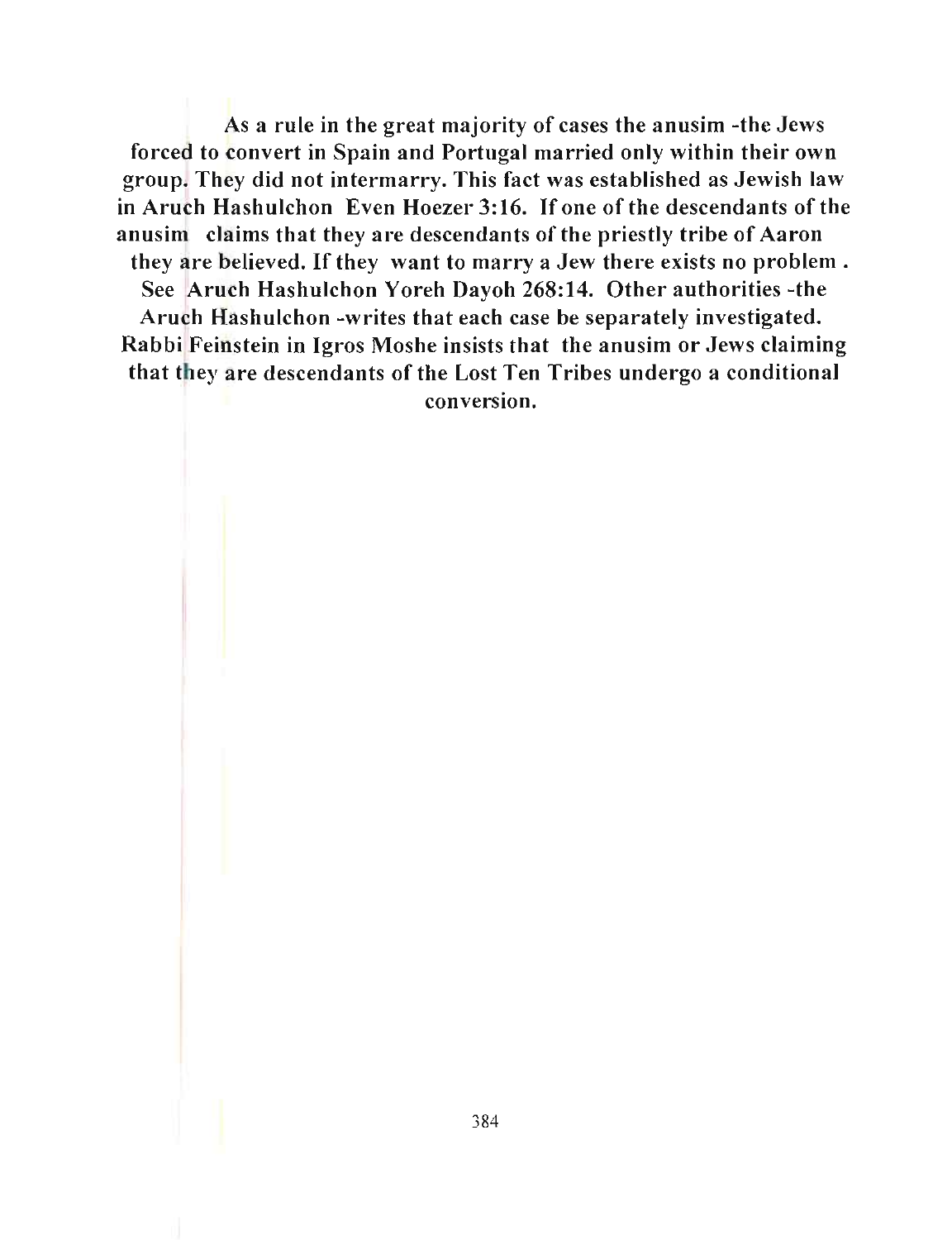As a rule in the great majority of cases the anusim -the Jews forced to convert in Spain and Portugal married only within their own group. They did not intermarry. This fact was established as Jewish law in Aruch Hashulchon Even Hoezer 3:16. If one of the descendants of the anusim claims that they are descendants of the priestly tribe of Aaron they are believed. If they want to marry a Jew there exists no problem. See Aruch Hashulchon Yoreh Dayoh 268:14. Other authorities -the Aruch Hashulchon -writes that each case be separately investigated. Rabbi Feinstein in Jgros Moshe insists that the anusim or Jews claiming that they are descendants of the Lost Ten Tribes undergo a conditional conversion.